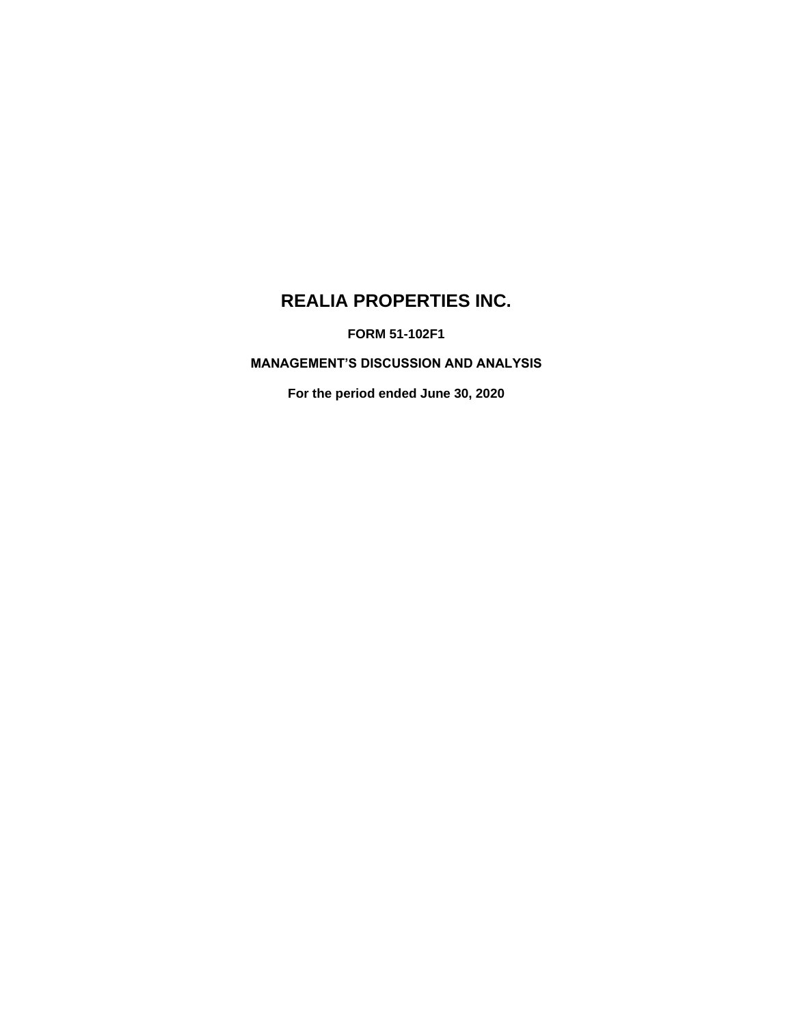# **REALIA PROPERTIES INC.**

**FORM 51-102F1**

**MANAGEMENT'S DISCUSSION AND ANALYSIS**

**For the period ended June 30, 2020**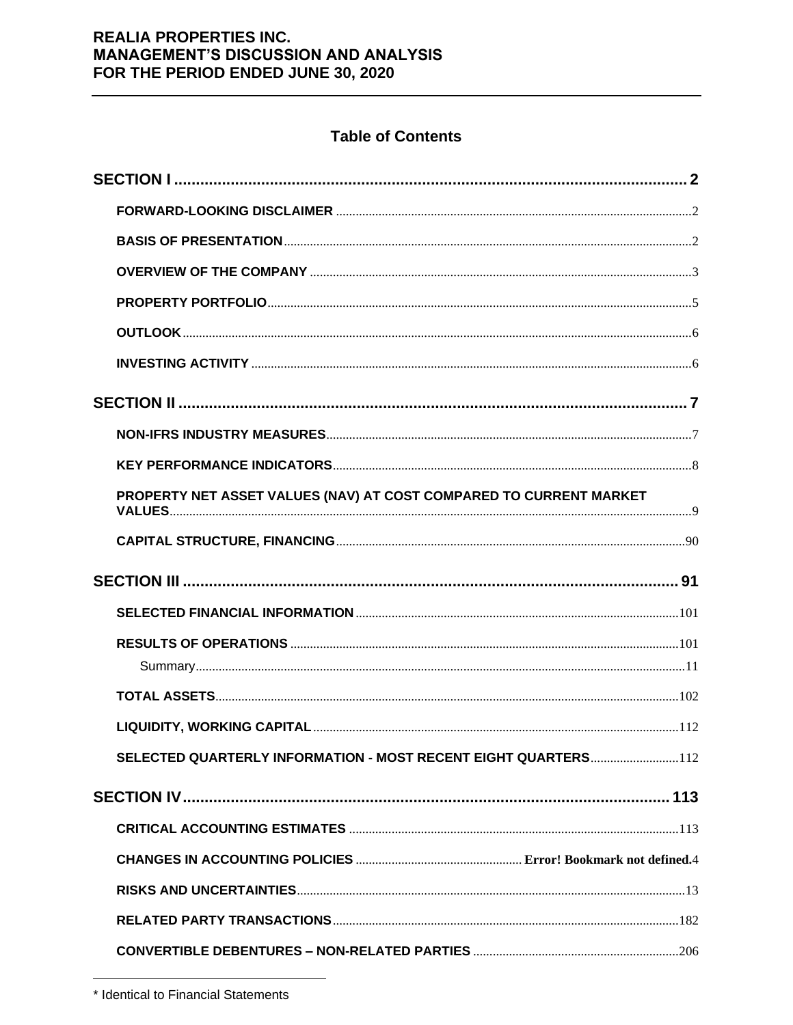## **Table of Contents**

| PROPERTY NET ASSET VALUES (NAV) AT COST COMPARED TO CURRENT MARKET |  |
|--------------------------------------------------------------------|--|
|                                                                    |  |
|                                                                    |  |
|                                                                    |  |
|                                                                    |  |
|                                                                    |  |
|                                                                    |  |
|                                                                    |  |
|                                                                    |  |
| SELECTED QUARTERLY INFORMATION - MOST RECENT EIGHT QUARTERS112     |  |
|                                                                    |  |
|                                                                    |  |
|                                                                    |  |
|                                                                    |  |
|                                                                    |  |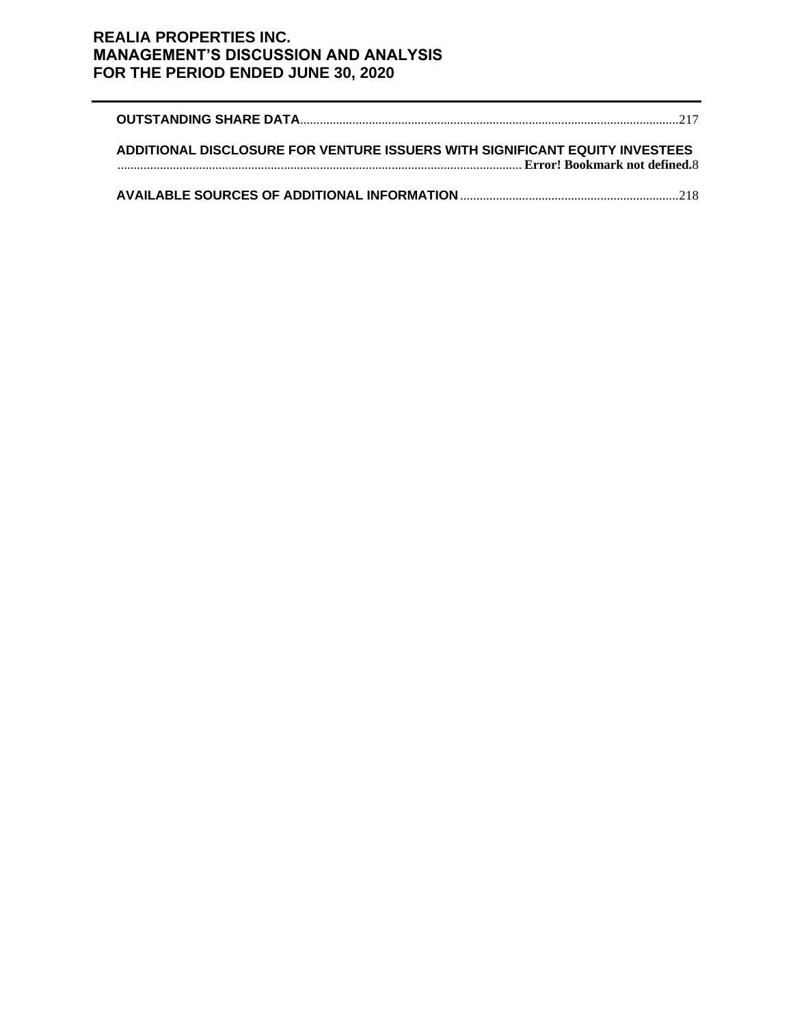| ADDITIONAL DISCLOSURE FOR VENTURE ISSUERS WITH SIGNIFICANT EQUITY INVESTEES |  |
|-----------------------------------------------------------------------------|--|
|                                                                             |  |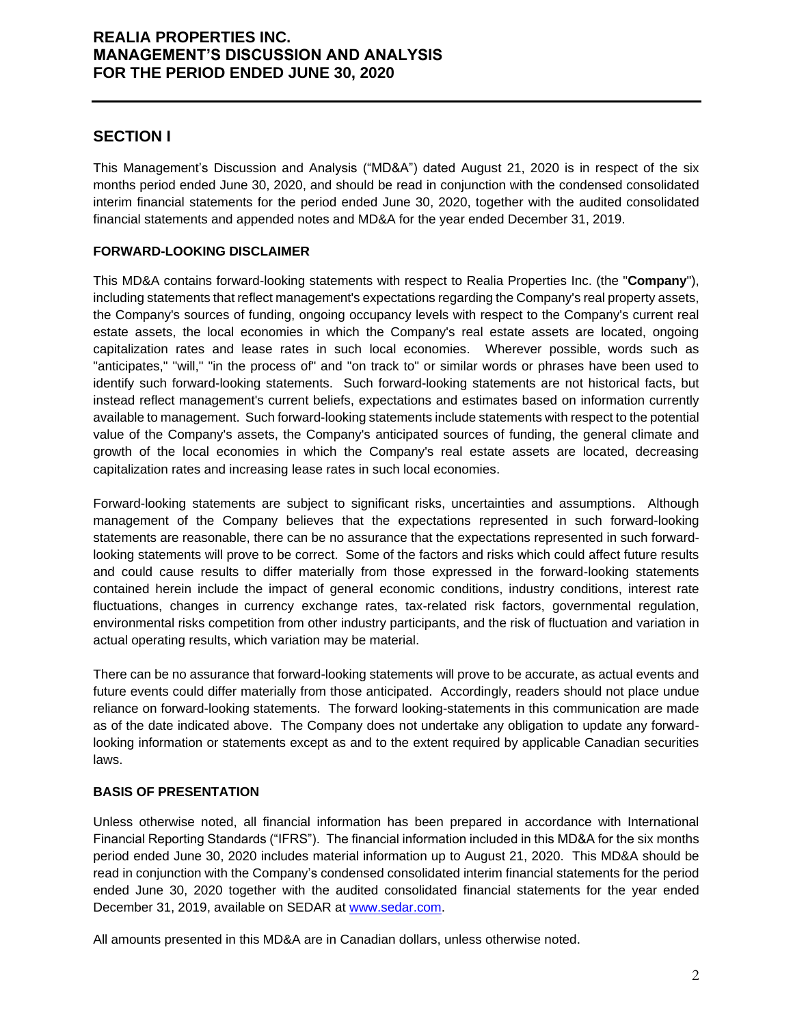## **SECTION I**

This Management's Discussion and Analysis ("MD&A") dated August 21, 2020 is in respect of the six months period ended June 30, 2020, and should be read in conjunction with the condensed consolidated interim financial statements for the period ended June 30, 2020, together with the audited consolidated financial statements and appended notes and MD&A for the year ended December 31, 2019.

### **FORWARD-LOOKING DISCLAIMER**

This MD&A contains forward-looking statements with respect to Realia Properties Inc. (the "**Company**"), including statements that reflect management's expectations regarding the Company's real property assets, the Company's sources of funding, ongoing occupancy levels with respect to the Company's current real estate assets, the local economies in which the Company's real estate assets are located, ongoing capitalization rates and lease rates in such local economies. Wherever possible, words such as "anticipates," "will," "in the process of" and "on track to" or similar words or phrases have been used to identify such forward-looking statements. Such forward-looking statements are not historical facts, but instead reflect management's current beliefs, expectations and estimates based on information currently available to management. Such forward-looking statements include statements with respect to the potential value of the Company's assets, the Company's anticipated sources of funding, the general climate and growth of the local economies in which the Company's real estate assets are located, decreasing capitalization rates and increasing lease rates in such local economies.

Forward-looking statements are subject to significant risks, uncertainties and assumptions. Although management of the Company believes that the expectations represented in such forward-looking statements are reasonable, there can be no assurance that the expectations represented in such forwardlooking statements will prove to be correct. Some of the factors and risks which could affect future results and could cause results to differ materially from those expressed in the forward-looking statements contained herein include the impact of general economic conditions, industry conditions, interest rate fluctuations, changes in currency exchange rates, tax-related risk factors, governmental regulation, environmental risks competition from other industry participants, and the risk of fluctuation and variation in actual operating results, which variation may be material.

There can be no assurance that forward-looking statements will prove to be accurate, as actual events and future events could differ materially from those anticipated. Accordingly, readers should not place undue reliance on forward-looking statements. The forward looking-statements in this communication are made as of the date indicated above. The Company does not undertake any obligation to update any forwardlooking information or statements except as and to the extent required by applicable Canadian securities laws.

### **BASIS OF PRESENTATION**

Unless otherwise noted, all financial information has been prepared in accordance with International Financial Reporting Standards ("IFRS"). The financial information included in this MD&A for the six months period ended June 30, 2020 includes material information up to August 21, 2020. This MD&A should be read in conjunction with the Company's condensed consolidated interim financial statements for the period ended June 30, 2020 together with the audited consolidated financial statements for the year ended December 31, 2019, available on SEDAR at [www.sedar.com.](http://www.sedar.com/)

All amounts presented in this MD&A are in Canadian dollars, unless otherwise noted.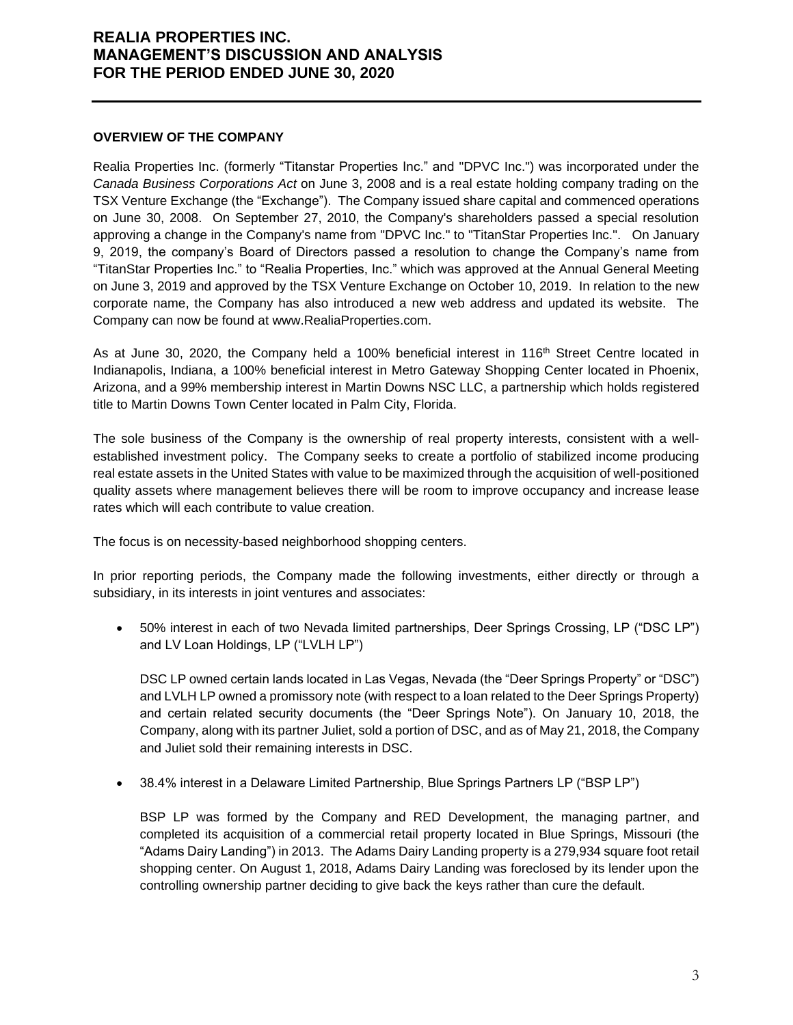#### **OVERVIEW OF THE COMPANY**

Realia Properties Inc. (formerly "Titanstar Properties Inc." and "DPVC Inc.") was incorporated under the *Canada Business Corporations Act* on June 3, 2008 and is a real estate holding company trading on the TSX Venture Exchange (the "Exchange"). The Company issued share capital and commenced operations on June 30, 2008. On September 27, 2010, the Company's shareholders passed a special resolution approving a change in the Company's name from "DPVC Inc." to "TitanStar Properties Inc.". On January 9, 2019, the company's Board of Directors passed a resolution to change the Company's name from "TitanStar Properties Inc." to "Realia Properties, Inc." which was approved at the Annual General Meeting on June 3, 2019 and approved by the TSX Venture Exchange on October 10, 2019. In relation to the new corporate name, the Company has also introduced a new web address and updated its website. The Company can now be found at www.RealiaProperties.com.

As at June 30, 2020, the Company held a 100% beneficial interest in 116<sup>th</sup> Street Centre located in Indianapolis, Indiana, a 100% beneficial interest in Metro Gateway Shopping Center located in Phoenix, Arizona, and a 99% membership interest in Martin Downs NSC LLC, a partnership which holds registered title to Martin Downs Town Center located in Palm City, Florida.

The sole business of the Company is the ownership of real property interests, consistent with a wellestablished investment policy. The Company seeks to create a portfolio of stabilized income producing real estate assets in the United States with value to be maximized through the acquisition of well-positioned quality assets where management believes there will be room to improve occupancy and increase lease rates which will each contribute to value creation.

The focus is on necessity-based neighborhood shopping centers.

In prior reporting periods, the Company made the following investments, either directly or through a subsidiary, in its interests in joint ventures and associates:

• 50% interest in each of two Nevada limited partnerships, Deer Springs Crossing, LP ("DSC LP") and LV Loan Holdings, LP ("LVLH LP")

DSC LP owned certain lands located in Las Vegas, Nevada (the "Deer Springs Property" or "DSC") and LVLH LP owned a promissory note (with respect to a loan related to the Deer Springs Property) and certain related security documents (the "Deer Springs Note"). On January 10, 2018, the Company, along with its partner Juliet, sold a portion of DSC, and as of May 21, 2018, the Company and Juliet sold their remaining interests in DSC.

• 38.4% interest in a Delaware Limited Partnership, Blue Springs Partners LP ("BSP LP")

BSP LP was formed by the Company and RED Development, the managing partner, and completed its acquisition of a commercial retail property located in Blue Springs, Missouri (the "Adams Dairy Landing") in 2013. The Adams Dairy Landing property is a 279,934 square foot retail shopping center. On August 1, 2018, Adams Dairy Landing was foreclosed by its lender upon the controlling ownership partner deciding to give back the keys rather than cure the default.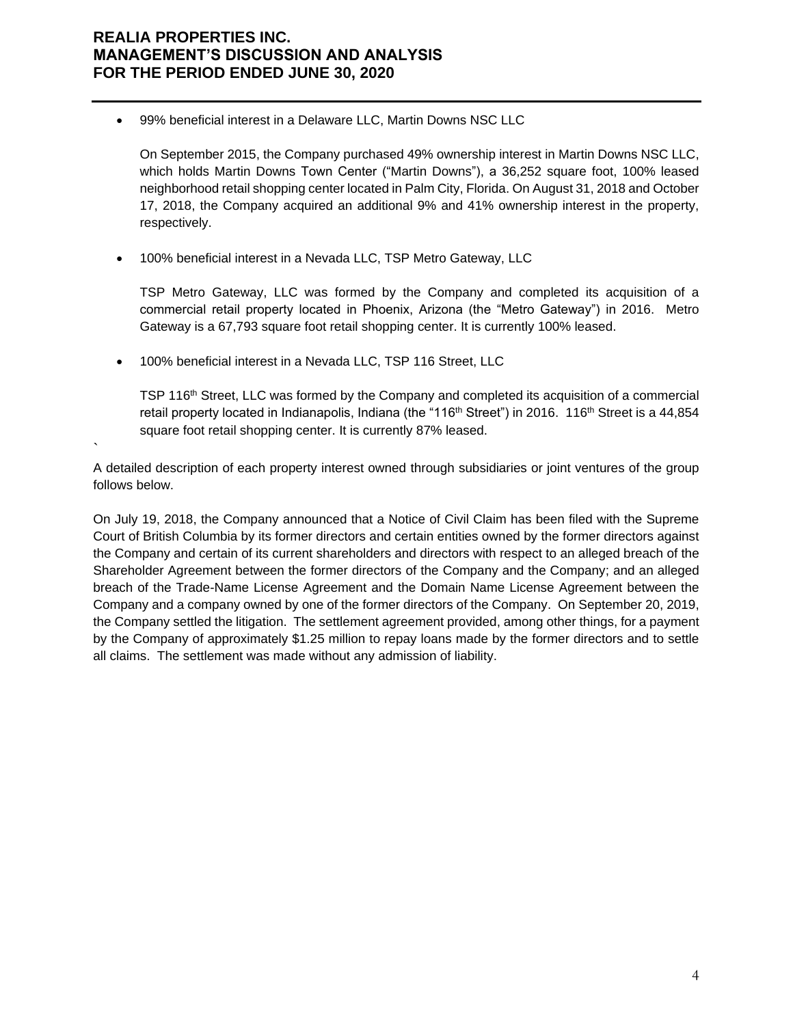• 99% beneficial interest in a Delaware LLC, Martin Downs NSC LLC

On September 2015, the Company purchased 49% ownership interest in Martin Downs NSC LLC, which holds Martin Downs Town Center ("Martin Downs"), a 36,252 square foot, 100% leased neighborhood retail shopping center located in Palm City, Florida. On August 31, 2018 and October 17, 2018, the Company acquired an additional 9% and 41% ownership interest in the property, respectively.

• 100% beneficial interest in a Nevada LLC, TSP Metro Gateway, LLC

TSP Metro Gateway, LLC was formed by the Company and completed its acquisition of a commercial retail property located in Phoenix, Arizona (the "Metro Gateway") in 2016. Metro Gateway is a 67,793 square foot retail shopping center. It is currently 100% leased.

• 100% beneficial interest in a Nevada LLC, TSP 116 Street, LLC

`

TSP 116th Street, LLC was formed by the Company and completed its acquisition of a commercial retail property located in Indianapolis, Indiana (the "116<sup>th</sup> Street") in 2016. 116<sup>th</sup> Street is a 44,854 square foot retail shopping center. It is currently 87% leased.

A detailed description of each property interest owned through subsidiaries or joint ventures of the group follows below.

On July 19, 2018, the Company announced that a Notice of Civil Claim has been filed with the Supreme Court of British Columbia by its former directors and certain entities owned by the former directors against the Company and certain of its current shareholders and directors with respect to an alleged breach of the Shareholder Agreement between the former directors of the Company and the Company; and an alleged breach of the Trade-Name License Agreement and the Domain Name License Agreement between the Company and a company owned by one of the former directors of the Company. On September 20, 2019, the Company settled the litigation. The settlement agreement provided, among other things, for a payment by the Company of approximately \$1.25 million to repay loans made by the former directors and to settle all claims. The settlement was made without any admission of liability.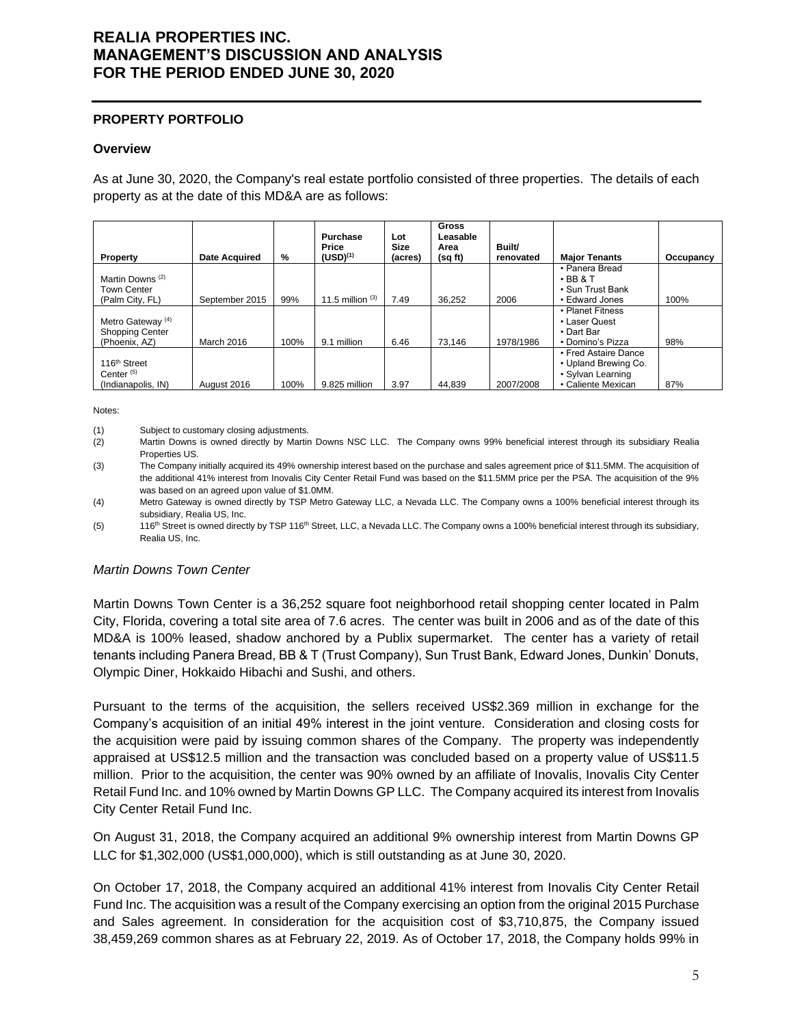#### **PROPERTY PORTFOLIO**

#### **Overview**

As at June 30, 2020, the Company's real estate portfolio consisted of three properties. The details of each property as at the date of this MD&A are as follows:

| Property                                                                | <b>Date Acquired</b> | %    | <b>Purchase</b><br>Price<br>$(USD)^{(1)}$ | Lot<br>Size<br>(acres) | <b>Gross</b><br>Leasable<br>Area<br>(sq ft) | Built/<br>renovated | <b>Major Tenants</b>                                                                    | Occupancy |
|-------------------------------------------------------------------------|----------------------|------|-------------------------------------------|------------------------|---------------------------------------------|---------------------|-----------------------------------------------------------------------------------------|-----------|
| Martin Downs <sup>(2)</sup><br><b>Town Center</b><br>(Palm City, FL)    | September 2015       | 99%  | 11.5 million $(3)$                        | 7.49                   | 36.252                                      | 2006                | • Panera Bread<br>$\cdot$ BB & T<br>• Sun Trust Bank<br>• Edward Jones                  | 100%      |
| Metro Gateway <sup>(4)</sup><br><b>Shopping Center</b><br>(Phoenix, AZ) | March 2016           | 100% | 9.1 million                               | 6.46                   | 73.146                                      | 1978/1986           | • Planet Fitness<br>• Laser Quest<br>• Dart Bar<br>• Domino's Pizza                     | 98%       |
| 116 <sup>th</sup> Street<br>Center <sup>(5)</sup><br>(Indianapolis, IN) | August 2016          | 100% | 9.825 million                             | 3.97                   | 44.839                                      | 2007/2008           | • Fred Astaire Dance<br>• Upland Brewing Co.<br>• Sylvan Learning<br>• Caliente Mexican | 87%       |

Notes:

(1) Subject to customary closing adjustments.

(2) Martin Downs is owned directly by Martin Downs NSC LLC. The Company owns 99% beneficial interest through its subsidiary Realia Properties US.

(3) The Company initially acquired its 49% ownership interest based on the purchase and sales agreement price of \$11.5MM. The acquisition of the additional 41% interest from Inovalis City Center Retail Fund was based on the \$11.5MM price per the PSA. The acquisition of the 9% was based on an agreed upon value of \$1.0MM.

(4) Metro Gateway is owned directly by TSP Metro Gateway LLC, a Nevada LLC. The Company owns a 100% beneficial interest through its subsidiary, Realia US, Inc.

(5) 116<sup>th</sup> Street is owned directly by TSP 116<sup>th</sup> Street, LLC, a Nevada LLC. The Company owns a 100% beneficial interest through its subsidiary, Realia US, Inc.

#### *Martin Downs Town Center*

Martin Downs Town Center is a 36,252 square foot neighborhood retail shopping center located in Palm City, Florida, covering a total site area of 7.6 acres. The center was built in 2006 and as of the date of this MD&A is 100% leased, shadow anchored by a Publix supermarket. The center has a variety of retail tenants including Panera Bread, BB & T (Trust Company), Sun Trust Bank, Edward Jones, Dunkin' Donuts, Olympic Diner, Hokkaido Hibachi and Sushi, and others.

Pursuant to the terms of the acquisition, the sellers received US\$2.369 million in exchange for the Company's acquisition of an initial 49% interest in the joint venture. Consideration and closing costs for the acquisition were paid by issuing common shares of the Company. The property was independently appraised at US\$12.5 million and the transaction was concluded based on a property value of US\$11.5 million. Prior to the acquisition, the center was 90% owned by an affiliate of Inovalis, Inovalis City Center Retail Fund Inc. and 10% owned by Martin Downs GP LLC. The Company acquired its interest from Inovalis City Center Retail Fund Inc.

On August 31, 2018, the Company acquired an additional 9% ownership interest from Martin Downs GP LLC for \$1,302,000 (US\$1,000,000), which is still outstanding as at June 30, 2020.

On October 17, 2018, the Company acquired an additional 41% interest from Inovalis City Center Retail Fund Inc. The acquisition was a result of the Company exercising an option from the original 2015 Purchase and Sales agreement. In consideration for the acquisition cost of \$3,710,875, the Company issued 38,459,269 common shares as at February 22, 2019. As of October 17, 2018, the Company holds 99% in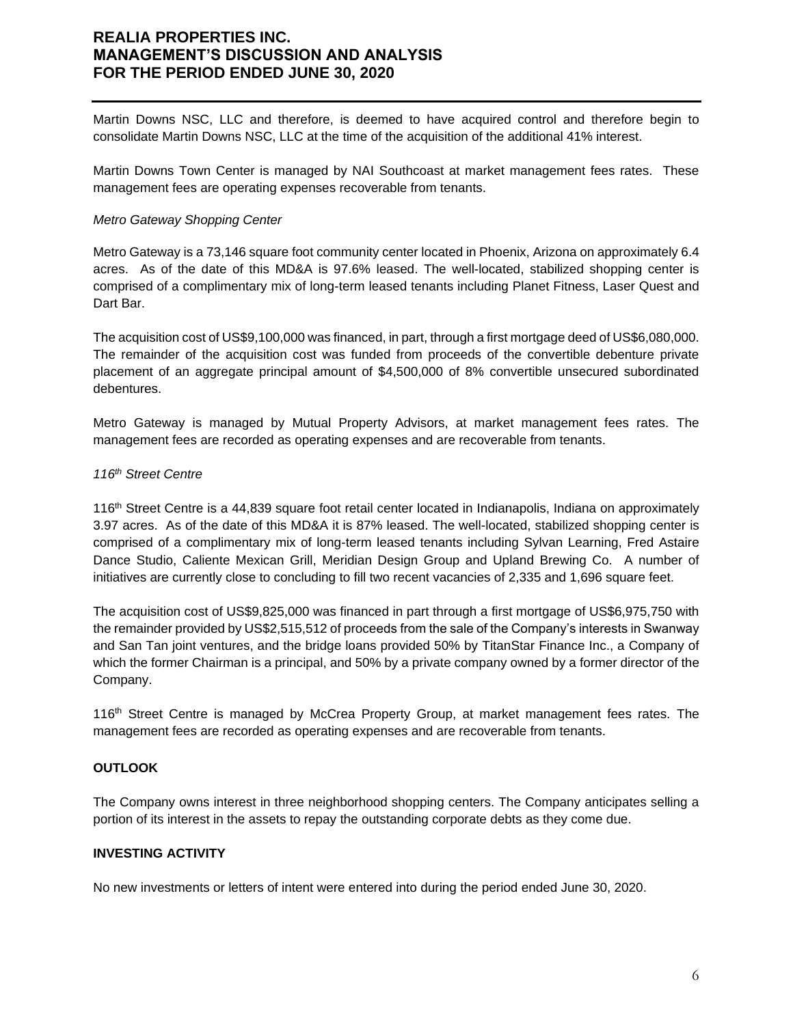Martin Downs NSC, LLC and therefore, is deemed to have acquired control and therefore begin to consolidate Martin Downs NSC, LLC at the time of the acquisition of the additional 41% interest.

Martin Downs Town Center is managed by NAI Southcoast at market management fees rates. These management fees are operating expenses recoverable from tenants.

#### *Metro Gateway Shopping Center*

Metro Gateway is a 73,146 square foot community center located in Phoenix, Arizona on approximately 6.4 acres. As of the date of this MD&A is 97.6% leased. The well-located, stabilized shopping center is comprised of a complimentary mix of long-term leased tenants including Planet Fitness, Laser Quest and Dart Bar.

The acquisition cost of US\$9,100,000 was financed, in part, through a first mortgage deed of US\$6,080,000. The remainder of the acquisition cost was funded from proceeds of the convertible debenture private placement of an aggregate principal amount of \$4,500,000 of 8% convertible unsecured subordinated debentures.

Metro Gateway is managed by Mutual Property Advisors, at market management fees rates. The management fees are recorded as operating expenses and are recoverable from tenants.

#### *116th Street Centre*

116th Street Centre is a 44,839 square foot retail center located in Indianapolis, Indiana on approximately 3.97 acres. As of the date of this MD&A it is 87% leased. The well-located, stabilized shopping center is comprised of a complimentary mix of long-term leased tenants including Sylvan Learning, Fred Astaire Dance Studio, Caliente Mexican Grill, Meridian Design Group and Upland Brewing Co. A number of initiatives are currently close to concluding to fill two recent vacancies of 2,335 and 1,696 square feet.

The acquisition cost of US\$9,825,000 was financed in part through a first mortgage of US\$6,975,750 with the remainder provided by US\$2,515,512 of proceeds from the sale of the Company's interests in Swanway and San Tan joint ventures, and the bridge loans provided 50% by TitanStar Finance Inc., a Company of which the former Chairman is a principal, and 50% by a private company owned by a former director of the Company.

116<sup>th</sup> Street Centre is managed by McCrea Property Group, at market management fees rates. The management fees are recorded as operating expenses and are recoverable from tenants.

### **OUTLOOK**

The Company owns interest in three neighborhood shopping centers. The Company anticipates selling a portion of its interest in the assets to repay the outstanding corporate debts as they come due.

#### **INVESTING ACTIVITY**

No new investments or letters of intent were entered into during the period ended June 30, 2020.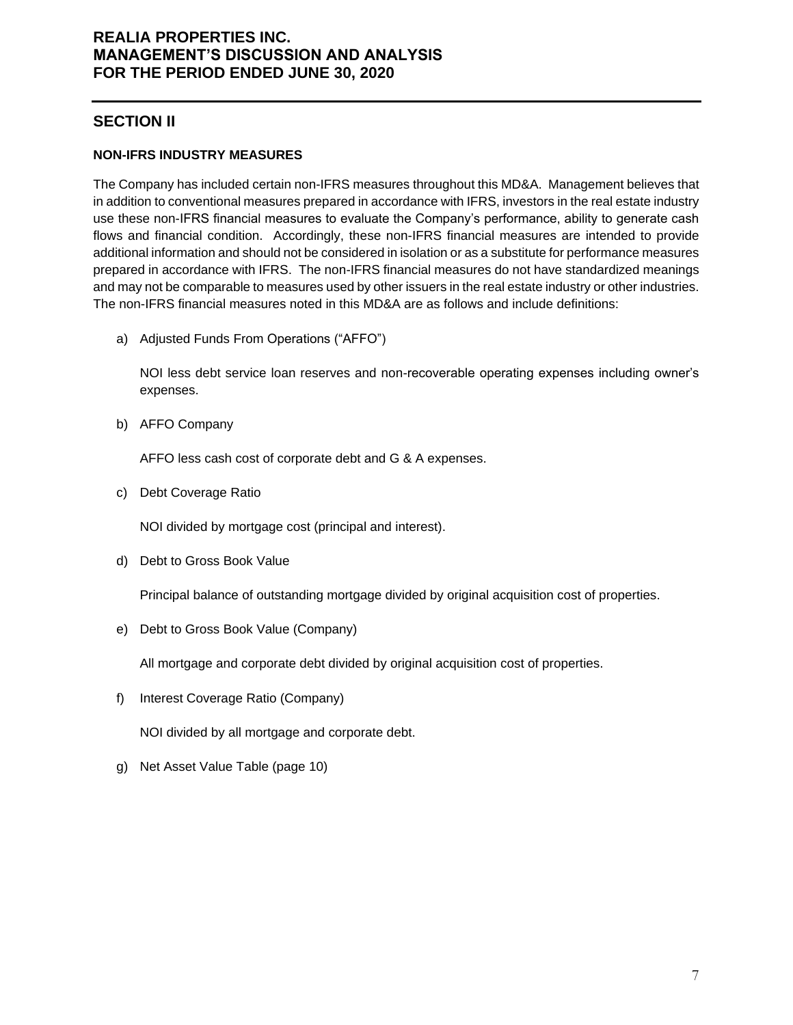## **SECTION II**

### **NON-IFRS INDUSTRY MEASURES**

The Company has included certain non-IFRS measures throughout this MD&A. Management believes that in addition to conventional measures prepared in accordance with IFRS, investors in the real estate industry use these non-IFRS financial measures to evaluate the Company's performance, ability to generate cash flows and financial condition. Accordingly, these non-IFRS financial measures are intended to provide additional information and should not be considered in isolation or as a substitute for performance measures prepared in accordance with IFRS. The non-IFRS financial measures do not have standardized meanings and may not be comparable to measures used by other issuers in the real estate industry or other industries. The non-IFRS financial measures noted in this MD&A are as follows and include definitions:

a) Adjusted Funds From Operations ("AFFO")

NOI less debt service loan reserves and non-recoverable operating expenses including owner's expenses.

b) AFFO Company

AFFO less cash cost of corporate debt and G & A expenses.

c) Debt Coverage Ratio

NOI divided by mortgage cost (principal and interest).

d) Debt to Gross Book Value

Principal balance of outstanding mortgage divided by original acquisition cost of properties.

e) Debt to Gross Book Value (Company)

All mortgage and corporate debt divided by original acquisition cost of properties.

f) Interest Coverage Ratio (Company)

NOI divided by all mortgage and corporate debt.

g) Net Asset Value Table (page 10)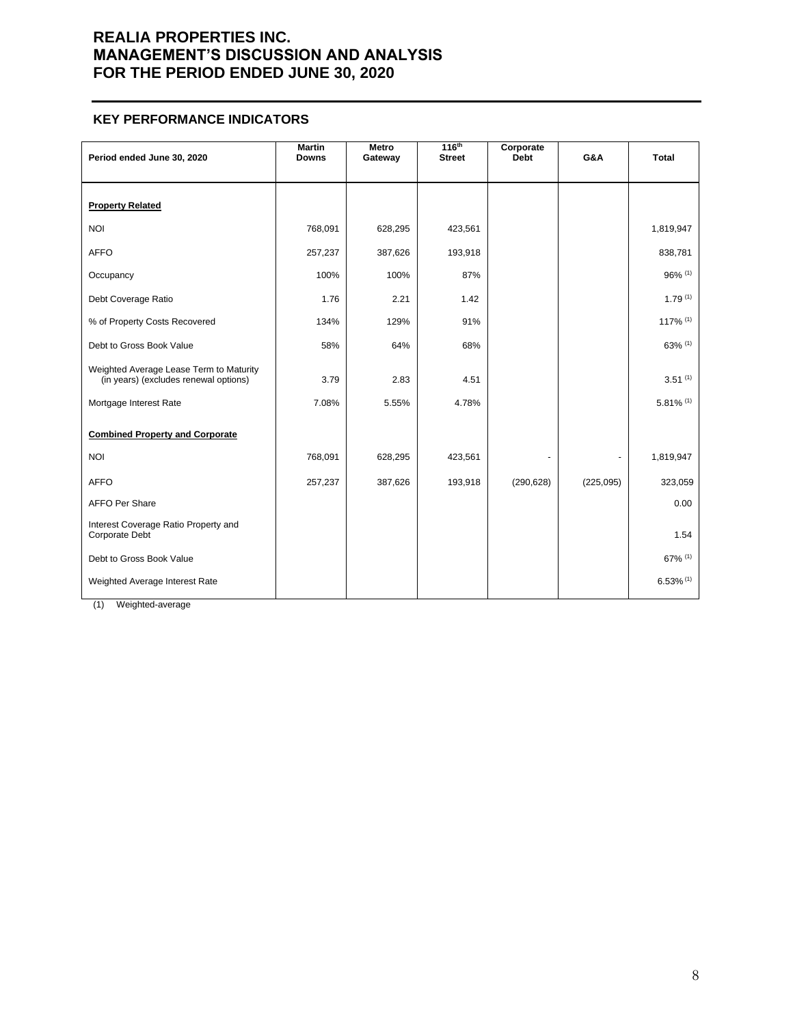#### **KEY PERFORMANCE INDICATORS**

| Period ended June 30, 2020                                                       | <b>Martin</b><br><b>Downs</b> | Metro<br>Gateway | 116 <sup>th</sup><br><b>Street</b> | Corporate<br><b>Debt</b> | G&A       | <b>Total</b>            |
|----------------------------------------------------------------------------------|-------------------------------|------------------|------------------------------------|--------------------------|-----------|-------------------------|
| <b>Property Related</b>                                                          |                               |                  |                                    |                          |           |                         |
| <b>NOI</b>                                                                       | 768,091                       | 628,295          | 423,561                            |                          |           | 1,819,947               |
| <b>AFFO</b>                                                                      | 257,237                       | 387,626          | 193,918                            |                          |           | 838,781                 |
| Occupancy                                                                        | 100%                          | 100%             | 87%                                |                          |           | 96% (1)                 |
| Debt Coverage Ratio                                                              | 1.76                          | 2.21             | 1.42                               |                          |           | $1.79^{(1)}$            |
| % of Property Costs Recovered                                                    | 134%                          | 129%             | 91%                                |                          |           | 117% (1)                |
| Debt to Gross Book Value                                                         | 58%                           | 64%              | 68%                                |                          |           | 63% (1)                 |
| Weighted Average Lease Term to Maturity<br>(in years) (excludes renewal options) | 3.79                          | 2.83             | 4.51                               |                          |           | 3.51(1)                 |
| Mortgage Interest Rate                                                           | 7.08%                         | 5.55%            | 4.78%                              |                          |           | $5.81\%$ <sup>(1)</sup> |
| <b>Combined Property and Corporate</b>                                           |                               |                  |                                    |                          |           |                         |
| <b>NOI</b>                                                                       | 768,091                       | 628,295          | 423,561                            |                          |           | 1,819,947               |
| <b>AFFO</b>                                                                      | 257,237                       | 387,626          | 193,918                            | (290, 628)               | (225,095) | 323,059                 |
| <b>AFFO Per Share</b>                                                            |                               |                  |                                    |                          |           | 0.00                    |
| Interest Coverage Ratio Property and<br>Corporate Debt                           |                               |                  |                                    |                          |           | 1.54                    |
| Debt to Gross Book Value                                                         |                               |                  |                                    |                          |           | 67% (1)                 |
| Weighted Average Interest Rate                                                   |                               |                  |                                    |                          |           | $6.53\%$ <sup>(1)</sup> |

(1) Weighted-average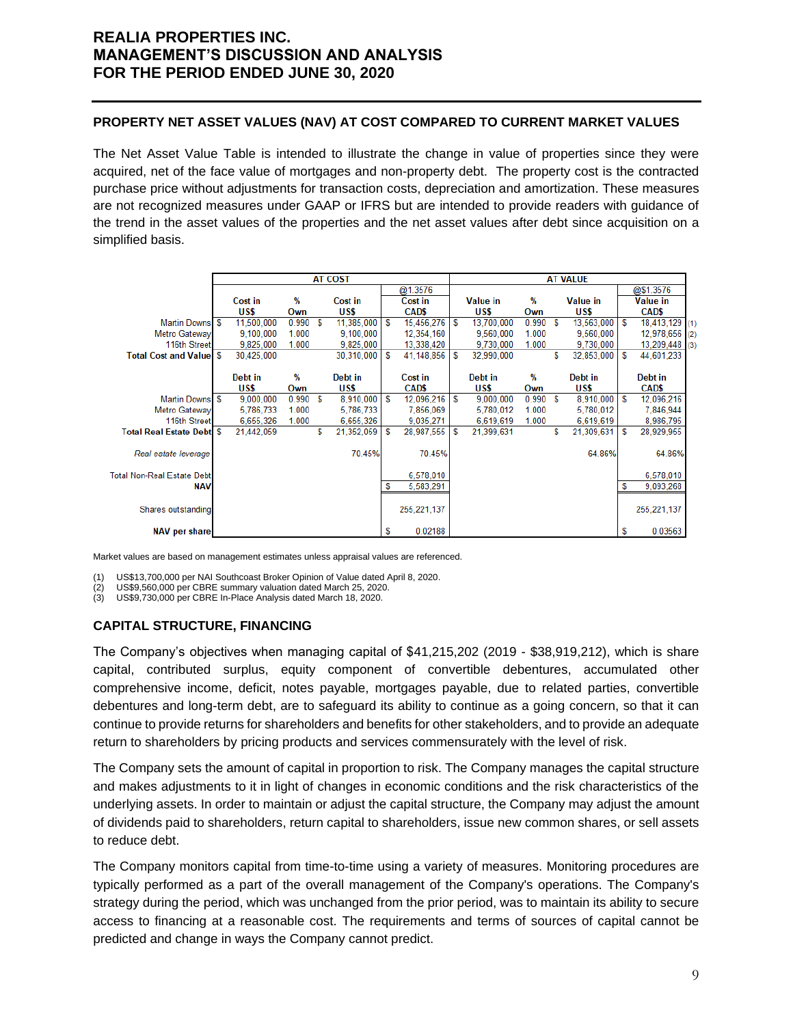### **PROPERTY NET ASSET VALUES (NAV) AT COST COMPARED TO CURRENT MARKET VALUES**

The Net Asset Value Table is intended to illustrate the change in value of properties since they were acquired, net of the face value of mortgages and non-property debt. The property cost is the contracted purchase price without adjustments for transaction costs, depreciation and amortization. These measures are not recognized measures under GAAP or IFRS but are intended to provide readers with guidance of the trend in the asset values of the properties and the net asset values after debt since acquisition on a simplified basis.

|                                   | <b>AT COST</b> |            |       |   |            |   | <b>AT VALUE</b> |   |                 |       |   |                 |     |                 |  |
|-----------------------------------|----------------|------------|-------|---|------------|---|-----------------|---|-----------------|-------|---|-----------------|-----|-----------------|--|
|                                   |                |            |       |   |            |   | @1.3576         |   |                 |       |   |                 |     | @\$1.3576       |  |
|                                   |                | Cost in    | %     |   | Cost in    |   | Cost in         |   | <b>Value in</b> | %     |   | <b>Value in</b> |     | <b>Value in</b> |  |
|                                   |                | US\$       | Own   |   | US\$       |   | CAD\$           |   | US\$            | Own   |   | US\$            |     | CAD\$           |  |
| Martin Downs \$                   |                | 11,500,000 | 0.990 | S | 11,385,000 | S | 15,456,276      | S | 13,700,000      | 0.990 | S | 13,563,000      | l S | 18,413,129 (1)  |  |
| <b>Metro Gateway</b>              |                | 9.100.000  | 1.000 |   | 9.100.000  |   | 12,354,160      |   | 9,560,000       | 1.000 |   | 9,560,000       |     | 12,978,656 (2)  |  |
| 116th Street                      |                | 9.825.000  | 1.000 |   | 9.825.000  |   | 13,338,420      |   | 9.730.000       | 1.000 |   | 9.730.000       |     | 13,209,448 (3)  |  |
| <b>Total Cost and Valuel \$</b>   |                | 30.425,000 |       |   | 30.310.000 | S | 41.148.856      | s | 32,990,000      |       | S | 32,853,000      | l S | 44,601,233      |  |
|                                   |                |            |       |   |            |   |                 |   |                 |       |   |                 |     |                 |  |
|                                   |                | Debt in    | %     |   | Debt in    |   | Cost in         |   | Debt in         | %     |   | Debt in         |     | Debt in         |  |
|                                   |                | US\$       | Own   |   | US\$       |   | <b>CADS</b>     |   | US\$            | Own   |   | US\$            |     | CAD\$           |  |
| Martin Downs S                    |                | 9,000,000  | 0.990 | S | 8,910,000  | S | 12,096,216      | s | 9,000,000       | 0.990 | s | 8,910,000       | ΙS  | 12,096,216      |  |
| Metro Gateway                     |                | 5,786,733  | 1.000 |   | 5,786,733  |   | 7,856,069       |   | 5,780,012       | 1.000 |   | 5,780,012       |     | 7,846,944       |  |
| 116th Street                      |                | 6,655,326  | 1.000 |   | 6,655,326  |   | 9,035,271       |   | 6,619,619       | 1.000 |   | 6,619,619       |     | 8,986,795       |  |
| <b>Total Real Estate Debt</b> \$  |                | 21,442,059 |       | S | 21,352,059 | S | 28,987,555      | S | 21,399,631      |       | S | 21,309,631      | S   | 28,929,955      |  |
|                                   |                |            |       |   |            |   |                 |   |                 |       |   |                 |     |                 |  |
| Real estate leverage              |                |            |       |   | 70.45%     |   | 70.45%          |   |                 |       |   | 64.86%          |     | 64.86%          |  |
|                                   |                |            |       |   |            |   |                 |   |                 |       |   |                 |     |                 |  |
| <b>Total Non-Real Estate Debt</b> |                |            |       |   |            |   | 6,578,010       |   |                 |       |   |                 |     | 6,578,010       |  |
| <b>NAV</b>                        |                |            |       |   |            | S | 5,583,291       |   |                 |       |   |                 | s   | 9,093,268       |  |
|                                   |                |            |       |   |            |   |                 |   |                 |       |   |                 |     |                 |  |
| Shares outstanding                |                |            |       |   |            |   | 255, 221, 137   |   |                 |       |   |                 |     | 255, 221, 137   |  |
|                                   |                |            |       |   |            |   |                 |   |                 |       |   |                 |     |                 |  |
| <b>NAV per share</b>              |                |            |       |   |            | S | 0.02188         |   |                 |       |   |                 | S   | 0.03563         |  |

Market values are based on management estimates unless appraisal values are referenced.

(1) US\$13,700,000 per NAI Southcoast Broker Opinion of Value dated April 8, 2020.

(2) US\$9,560,000 per CBRE summary valuation dated March 25, 2020.

US\$9,730,000 per CBRE In-Place Analysis dated March 18, 2020.

### **CAPITAL STRUCTURE, FINANCING**

The Company's objectives when managing capital of \$41,215,202 (2019 - \$38,919,212), which is share capital, contributed surplus, equity component of convertible debentures, accumulated other comprehensive income, deficit, notes payable, mortgages payable, due to related parties, convertible debentures and long-term debt, are to safeguard its ability to continue as a going concern, so that it can continue to provide returns for shareholders and benefits for other stakeholders, and to provide an adequate return to shareholders by pricing products and services commensurately with the level of risk.

The Company sets the amount of capital in proportion to risk. The Company manages the capital structure and makes adjustments to it in light of changes in economic conditions and the risk characteristics of the underlying assets. In order to maintain or adjust the capital structure, the Company may adjust the amount of dividends paid to shareholders, return capital to shareholders, issue new common shares, or sell assets to reduce debt.

The Company monitors capital from time-to-time using a variety of measures. Monitoring procedures are typically performed as a part of the overall management of the Company's operations. The Company's strategy during the period, which was unchanged from the prior period, was to maintain its ability to secure access to financing at a reasonable cost. The requirements and terms of sources of capital cannot be predicted and change in ways the Company cannot predict.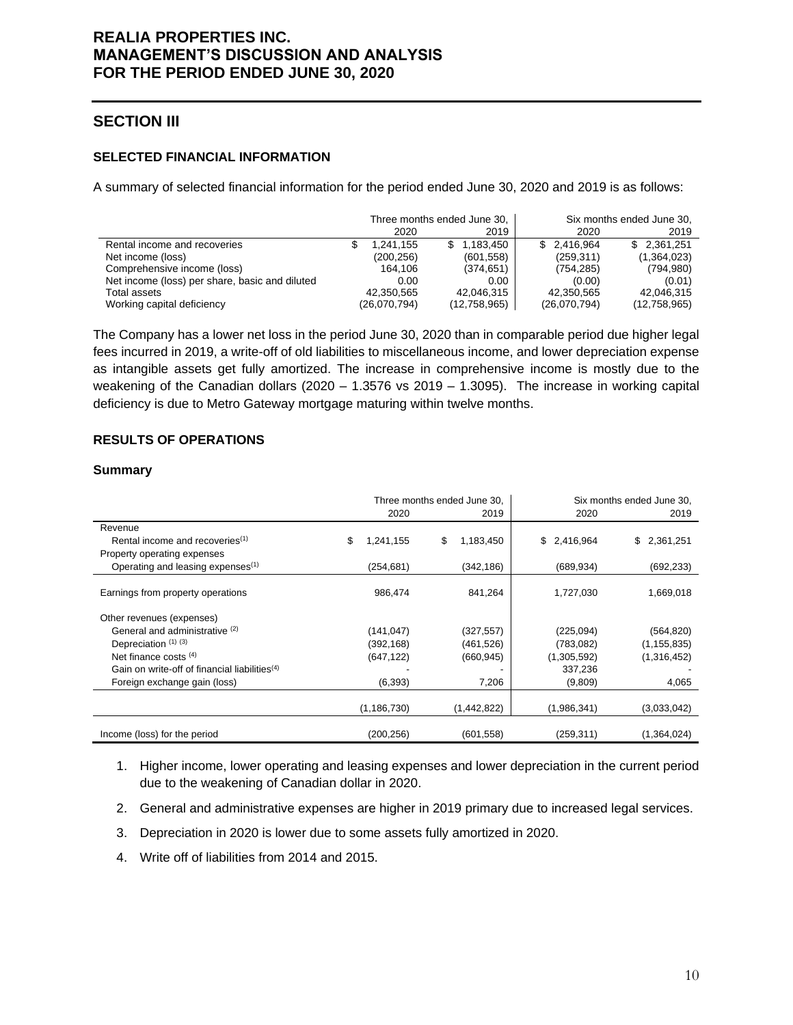## **SECTION III**

### **SELECTED FINANCIAL INFORMATION**

A summary of selected financial information for the period ended June 30, 2020 and 2019 is as follows:

|                                                |              | Three months ended June 30, |              | Six months ended June 30, |
|------------------------------------------------|--------------|-----------------------------|--------------|---------------------------|
|                                                |              | 2019<br>2020                | 2020         | 2019                      |
| Rental income and recoveries                   |              | \$1.183.450<br>1.241.155    | \$ 2.416.964 | \$2,361,251               |
| Net income (loss)                              |              | (601, 558)<br>(200,256)     | (259, 311)   | (1,364,023)               |
| Comprehensive income (loss)                    |              | 164.106<br>(374, 651)       | (754, 285)   | (794, 980)                |
| Net income (loss) per share, basic and diluted |              | 0.00<br>0.00                | (0.00)       | (0.01)                    |
| Total assets                                   | 42.350.565   | 42.046.315                  | 42.350.565   | 42.046.315                |
| Working capital deficiency                     | (26,070,794) | (12,758,965)                | (26,070,794) | (12,758,965)              |

The Company has a lower net loss in the period June 30, 2020 than in comparable period due higher legal fees incurred in 2019, a write-off of old liabilities to miscellaneous income, and lower depreciation expense as intangible assets get fully amortized. The increase in comprehensive income is mostly due to the weakening of the Canadian dollars ( $2020 - 1.3576$  vs  $2019 - 1.3095$ ). The increase in working capital deficiency is due to Metro Gateway mortgage maturing within twelve months.

### **RESULTS OF OPERATIONS**

#### **Summary**

|                                                           |                  | Three months ended June 30, | Six months ended June 30. |                 |  |  |
|-----------------------------------------------------------|------------------|-----------------------------|---------------------------|-----------------|--|--|
|                                                           | 2020             | 2019                        | 2020                      | 2019            |  |  |
| Revenue                                                   |                  |                             |                           |                 |  |  |
| Rental income and recoveries <sup>(1)</sup>               | \$.<br>1,241,155 | \$<br>1,183,450             | \$2,416,964               | 2,361,251<br>\$ |  |  |
| Property operating expenses                               |                  |                             |                           |                 |  |  |
| Operating and leasing expenses <sup>(1)</sup>             | (254, 681)       | (342,186)                   | (689, 934)                | (692, 233)      |  |  |
| Earnings from property operations                         | 986,474          | 841,264                     | 1,727,030                 | 1,669,018       |  |  |
| Other revenues (expenses)                                 |                  |                             |                           |                 |  |  |
| General and administrative (2)                            | (141, 047)       | (327, 557)                  | (225,094)                 | (564, 820)      |  |  |
| Depreciation (1) (3)                                      | (392, 168)       | (461, 526)                  | (783,082)                 | (1, 155, 835)   |  |  |
| Net finance costs $(4)$                                   | (647, 122)       | (660, 945)                  | (1,305,592)               | (1,316,452)     |  |  |
| Gain on write-off of financial liabilities <sup>(4)</sup> |                  |                             | 337,236                   |                 |  |  |
| Foreign exchange gain (loss)                              | (6, 393)         | 7,206                       | (9,809)                   | 4,065           |  |  |
|                                                           | (1, 186, 730)    | (1,442,822)                 | (1,986,341)               | (3,033,042)     |  |  |
| Income (loss) for the period                              | (200, 256)       | (601, 558)                  | (259, 311)                | (1,364,024)     |  |  |

- 1. Higher income, lower operating and leasing expenses and lower depreciation in the current period due to the weakening of Canadian dollar in 2020.
- 2. General and administrative expenses are higher in 2019 primary due to increased legal services.
- 3. Depreciation in 2020 is lower due to some assets fully amortized in 2020.
- 4. Write off of liabilities from 2014 and 2015.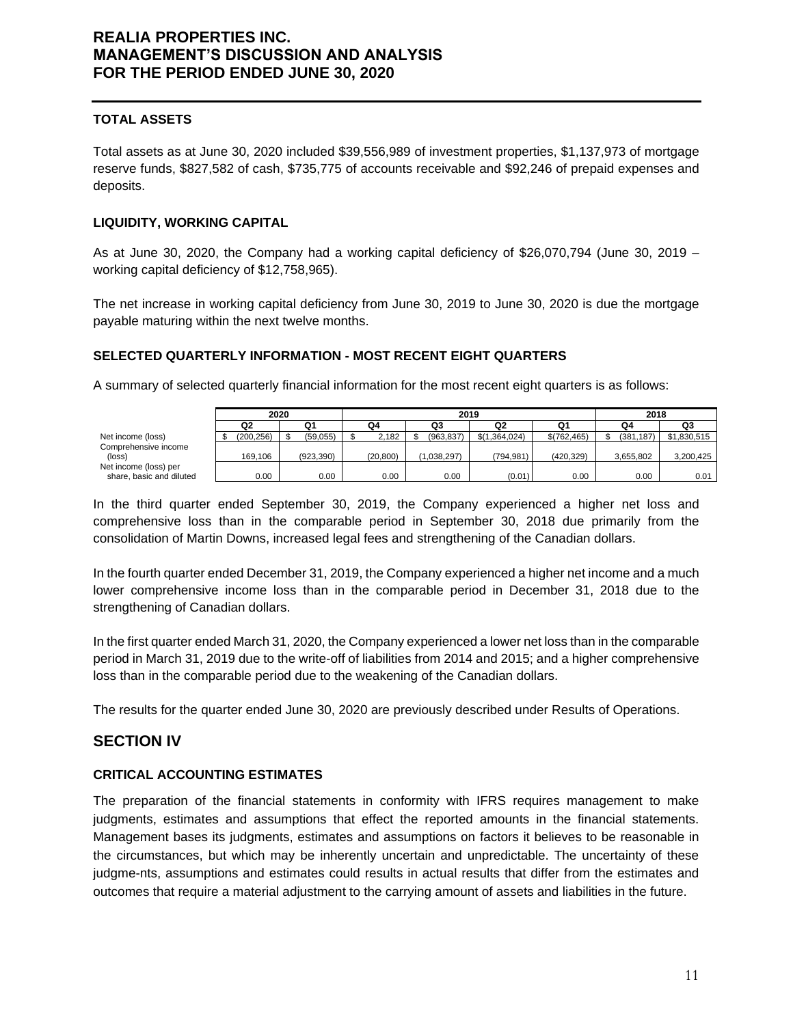### **TOTAL ASSETS**

Total assets as at June 30, 2020 included \$39,556,989 of investment properties, \$1,137,973 of mortgage reserve funds, \$827,582 of cash, \$735,775 of accounts receivable and \$92,246 of prepaid expenses and deposits.

### **LIQUIDITY, WORKING CAPITAL**

As at June 30, 2020, the Company had a working capital deficiency of \$26,070,794 (June 30, 2019 – working capital deficiency of \$12,758,965).

The net increase in working capital deficiency from June 30, 2019 to June 30, 2020 is due the mortgage payable maturing within the next twelve months.

### **SELECTED QUARTERLY INFORMATION - MOST RECENT EIGHT QUARTERS**

A summary of selected quarterly financial information for the most recent eight quarters is as follows:

|                                |            | 2020 |           | 2019 |          |  |             |               |  | 2018        |  |           |             |
|--------------------------------|------------|------|-----------|------|----------|--|-------------|---------------|--|-------------|--|-----------|-------------|
|                                | Q2         |      | Q1        |      | Q4       |  | Q3          | Q2            |  | Q1          |  | Q4        | Q3          |
| Net income (loss)              | (200, 256) |      | (59,055)  |      | 2,182    |  | (963.837)   | \$(1.364.024) |  | \$(762.465) |  | (381.187) | \$1,830,515 |
| Comprehensive income<br>(loss) | 169.106    |      | (923.390) |      | (20.800) |  | (1.038.297) | (794.981)     |  | (420.329)   |  | 3.655.802 | 3.200.425   |
| Net income (loss) per          |            |      |           |      |          |  |             |               |  |             |  |           |             |
| share, basic and diluted       | 0.00       |      | 0.00      |      | 0.00     |  | 0.00        | (0.01)        |  | 0.00        |  | 0.00      | 0.01        |

In the third quarter ended September 30, 2019, the Company experienced a higher net loss and comprehensive loss than in the comparable period in September 30, 2018 due primarily from the consolidation of Martin Downs, increased legal fees and strengthening of the Canadian dollars.

In the fourth quarter ended December 31, 2019, the Company experienced a higher net income and a much lower comprehensive income loss than in the comparable period in December 31, 2018 due to the strengthening of Canadian dollars.

In the first quarter ended March 31, 2020, the Company experienced a lower net loss than in the comparable period in March 31, 2019 due to the write-off of liabilities from 2014 and 2015; and a higher comprehensive loss than in the comparable period due to the weakening of the Canadian dollars.

The results for the quarter ended June 30, 2020 are previously described under Results of Operations.

## **SECTION IV**

### **CRITICAL ACCOUNTING ESTIMATES**

The preparation of the financial statements in conformity with IFRS requires management to make judgments, estimates and assumptions that effect the reported amounts in the financial statements. Management bases its judgments, estimates and assumptions on factors it believes to be reasonable in the circumstances, but which may be inherently uncertain and unpredictable. The uncertainty of these judgme-nts, assumptions and estimates could results in actual results that differ from the estimates and outcomes that require a material adjustment to the carrying amount of assets and liabilities in the future.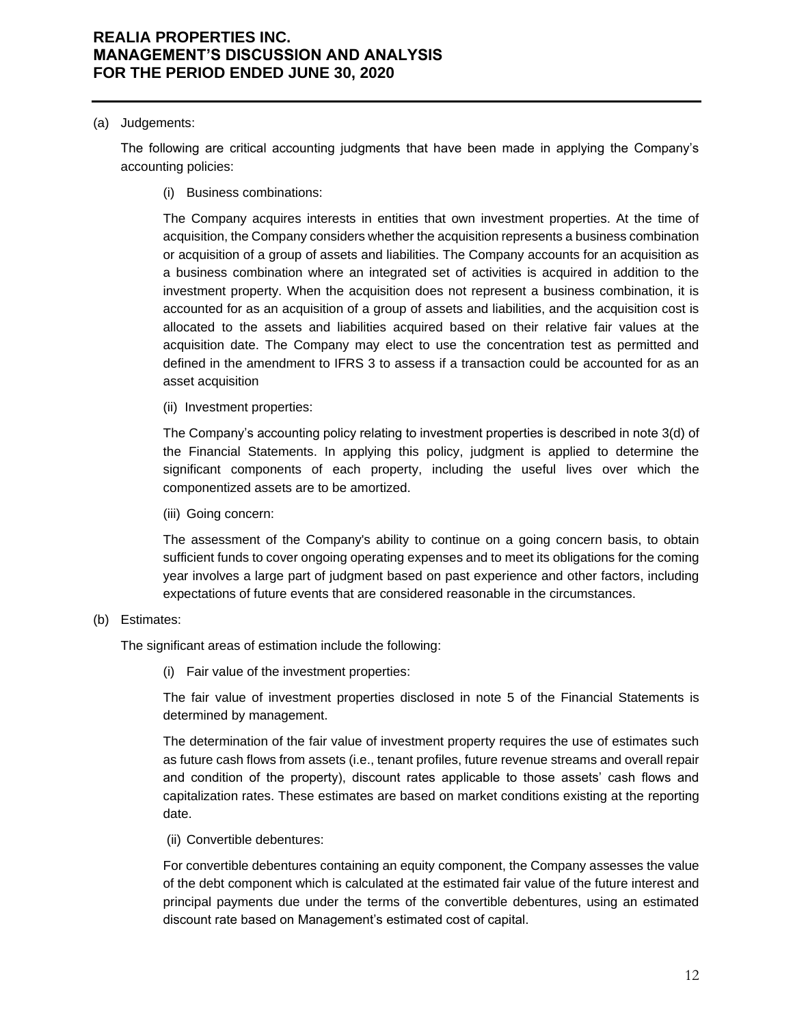#### (a) Judgements:

The following are critical accounting judgments that have been made in applying the Company's accounting policies:

(i) Business combinations:

The Company acquires interests in entities that own investment properties. At the time of acquisition, the Company considers whether the acquisition represents a business combination or acquisition of a group of assets and liabilities. The Company accounts for an acquisition as a business combination where an integrated set of activities is acquired in addition to the investment property. When the acquisition does not represent a business combination, it is accounted for as an acquisition of a group of assets and liabilities, and the acquisition cost is allocated to the assets and liabilities acquired based on their relative fair values at the acquisition date. The Company may elect to use the concentration test as permitted and defined in the amendment to IFRS 3 to assess if a transaction could be accounted for as an asset acquisition

(ii) Investment properties:

The Company's accounting policy relating to investment properties is described in note 3(d) of the Financial Statements. In applying this policy, judgment is applied to determine the significant components of each property, including the useful lives over which the componentized assets are to be amortized.

(iii) Going concern:

The assessment of the Company's ability to continue on a going concern basis, to obtain sufficient funds to cover ongoing operating expenses and to meet its obligations for the coming year involves a large part of judgment based on past experience and other factors, including expectations of future events that are considered reasonable in the circumstances.

### (b) Estimates:

The significant areas of estimation include the following:

(i) Fair value of the investment properties:

The fair value of investment properties disclosed in note 5 of the Financial Statements is determined by management.

The determination of the fair value of investment property requires the use of estimates such as future cash flows from assets (i.e., tenant profiles, future revenue streams and overall repair and condition of the property), discount rates applicable to those assets' cash flows and capitalization rates. These estimates are based on market conditions existing at the reporting date.

(ii) Convertible debentures:

For convertible debentures containing an equity component, the Company assesses the value of the debt component which is calculated at the estimated fair value of the future interest and principal payments due under the terms of the convertible debentures, using an estimated discount rate based on Management's estimated cost of capital.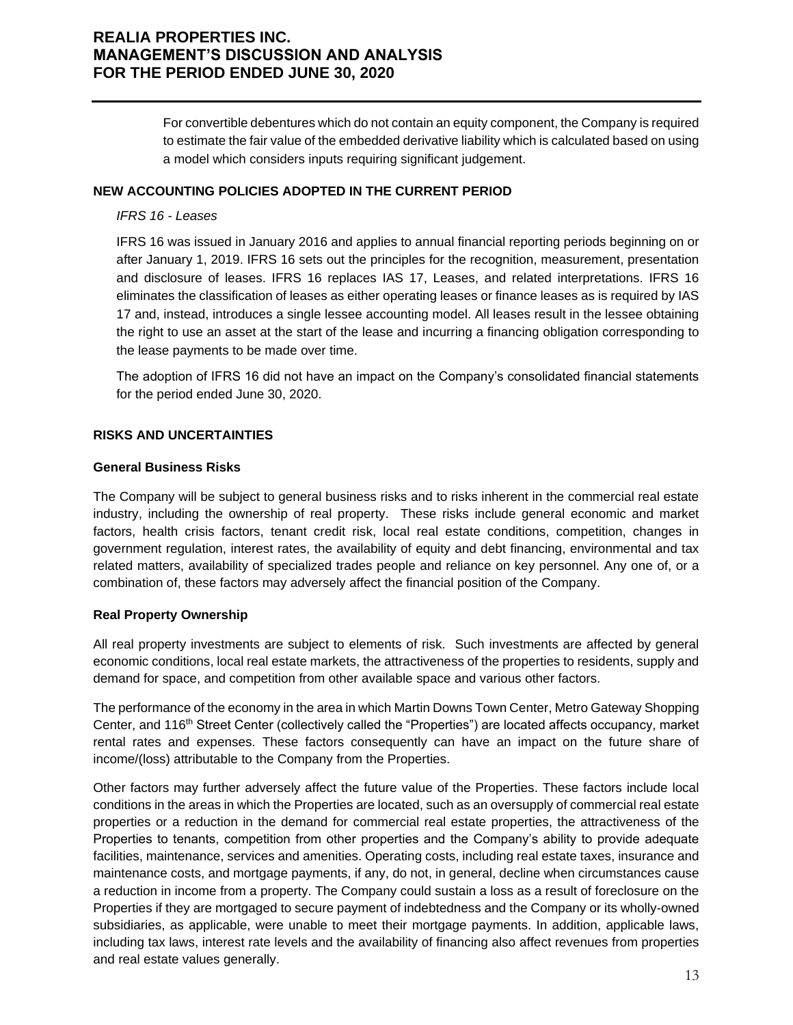For convertible debentures which do not contain an equity component, the Company is required to estimate the fair value of the embedded derivative liability which is calculated based on using a model which considers inputs requiring significant judgement.

#### **NEW ACCOUNTING POLICIES ADOPTED IN THE CURRENT PERIOD**

#### *IFRS 16 - Leases*

IFRS 16 was issued in January 2016 and applies to annual financial reporting periods beginning on or after January 1, 2019. IFRS 16 sets out the principles for the recognition, measurement, presentation and disclosure of leases. IFRS 16 replaces IAS 17, Leases, and related interpretations. IFRS 16 eliminates the classification of leases as either operating leases or finance leases as is required by IAS 17 and, instead, introduces a single lessee accounting model. All leases result in the lessee obtaining the right to use an asset at the start of the lease and incurring a financing obligation corresponding to the lease payments to be made over time.

The adoption of IFRS 16 did not have an impact on the Company's consolidated financial statements for the period ended June 30, 2020.

### **RISKS AND UNCERTAINTIES**

#### **General Business Risks**

The Company will be subject to general business risks and to risks inherent in the commercial real estate industry, including the ownership of real property. These risks include general economic and market factors, health crisis factors, tenant credit risk, local real estate conditions, competition, changes in government regulation, interest rates, the availability of equity and debt financing, environmental and tax related matters, availability of specialized trades people and reliance on key personnel. Any one of, or a combination of, these factors may adversely affect the financial position of the Company.

### **Real Property Ownership**

All real property investments are subject to elements of risk. Such investments are affected by general economic conditions, local real estate markets, the attractiveness of the properties to residents, supply and demand for space, and competition from other available space and various other factors.

The performance of the economy in the area in which Martin Downs Town Center, Metro Gateway Shopping Center, and 116<sup>th</sup> Street Center (collectively called the "Properties") are located affects occupancy, market rental rates and expenses. These factors consequently can have an impact on the future share of income/(loss) attributable to the Company from the Properties.

Other factors may further adversely affect the future value of the Properties. These factors include local conditions in the areas in which the Properties are located, such as an oversupply of commercial real estate properties or a reduction in the demand for commercial real estate properties, the attractiveness of the Properties to tenants, competition from other properties and the Company's ability to provide adequate facilities, maintenance, services and amenities. Operating costs, including real estate taxes, insurance and maintenance costs, and mortgage payments, if any, do not, in general, decline when circumstances cause a reduction in income from a property. The Company could sustain a loss as a result of foreclosure on the Properties if they are mortgaged to secure payment of indebtedness and the Company or its wholly-owned subsidiaries, as applicable, were unable to meet their mortgage payments. In addition, applicable laws, including tax laws, interest rate levels and the availability of financing also affect revenues from properties and real estate values generally.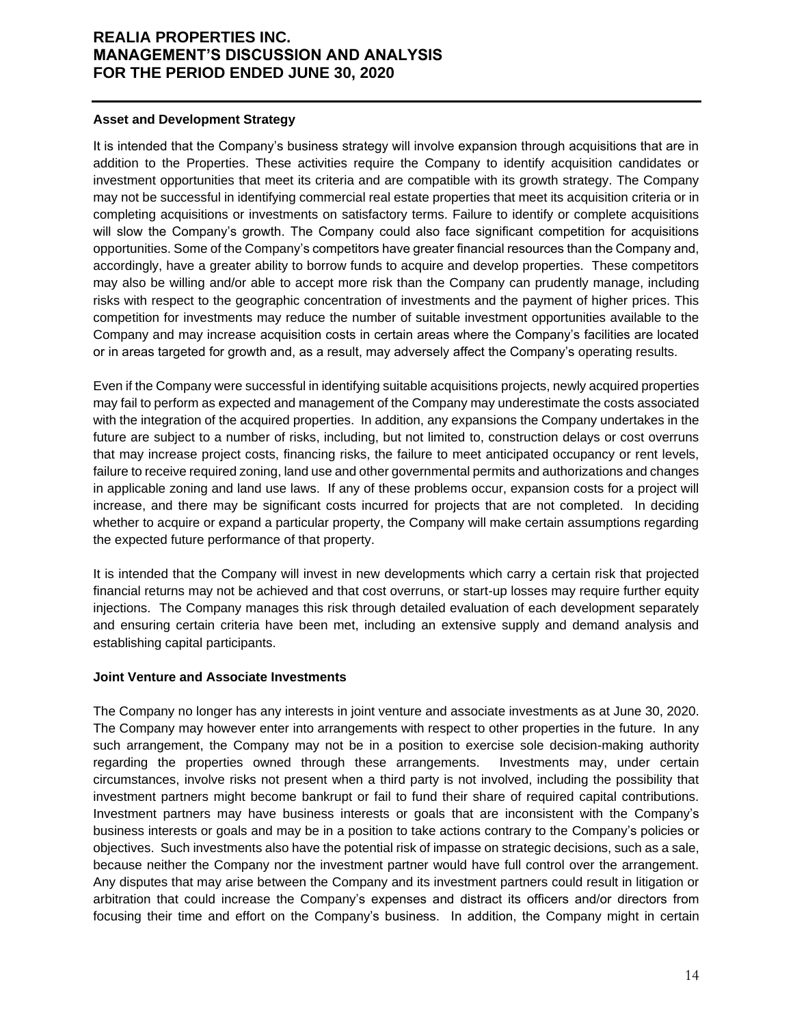#### **Asset and Development Strategy**

It is intended that the Company's business strategy will involve expansion through acquisitions that are in addition to the Properties. These activities require the Company to identify acquisition candidates or investment opportunities that meet its criteria and are compatible with its growth strategy. The Company may not be successful in identifying commercial real estate properties that meet its acquisition criteria or in completing acquisitions or investments on satisfactory terms. Failure to identify or complete acquisitions will slow the Company's growth. The Company could also face significant competition for acquisitions opportunities. Some of the Company's competitors have greater financial resources than the Company and, accordingly, have a greater ability to borrow funds to acquire and develop properties. These competitors may also be willing and/or able to accept more risk than the Company can prudently manage, including risks with respect to the geographic concentration of investments and the payment of higher prices. This competition for investments may reduce the number of suitable investment opportunities available to the Company and may increase acquisition costs in certain areas where the Company's facilities are located or in areas targeted for growth and, as a result, may adversely affect the Company's operating results.

Even if the Company were successful in identifying suitable acquisitions projects, newly acquired properties may fail to perform as expected and management of the Company may underestimate the costs associated with the integration of the acquired properties. In addition, any expansions the Company undertakes in the future are subject to a number of risks, including, but not limited to, construction delays or cost overruns that may increase project costs, financing risks, the failure to meet anticipated occupancy or rent levels, failure to receive required zoning, land use and other governmental permits and authorizations and changes in applicable zoning and land use laws. If any of these problems occur, expansion costs for a project will increase, and there may be significant costs incurred for projects that are not completed. In deciding whether to acquire or expand a particular property, the Company will make certain assumptions regarding the expected future performance of that property.

It is intended that the Company will invest in new developments which carry a certain risk that projected financial returns may not be achieved and that cost overruns, or start-up losses may require further equity injections. The Company manages this risk through detailed evaluation of each development separately and ensuring certain criteria have been met, including an extensive supply and demand analysis and establishing capital participants.

### **Joint Venture and Associate Investments**

The Company no longer has any interests in joint venture and associate investments as at June 30, 2020. The Company may however enter into arrangements with respect to other properties in the future. In any such arrangement, the Company may not be in a position to exercise sole decision-making authority regarding the properties owned through these arrangements. Investments may, under certain circumstances, involve risks not present when a third party is not involved, including the possibility that investment partners might become bankrupt or fail to fund their share of required capital contributions. Investment partners may have business interests or goals that are inconsistent with the Company's business interests or goals and may be in a position to take actions contrary to the Company's policies or objectives. Such investments also have the potential risk of impasse on strategic decisions, such as a sale, because neither the Company nor the investment partner would have full control over the arrangement. Any disputes that may arise between the Company and its investment partners could result in litigation or arbitration that could increase the Company's expenses and distract its officers and/or directors from focusing their time and effort on the Company's business. In addition, the Company might in certain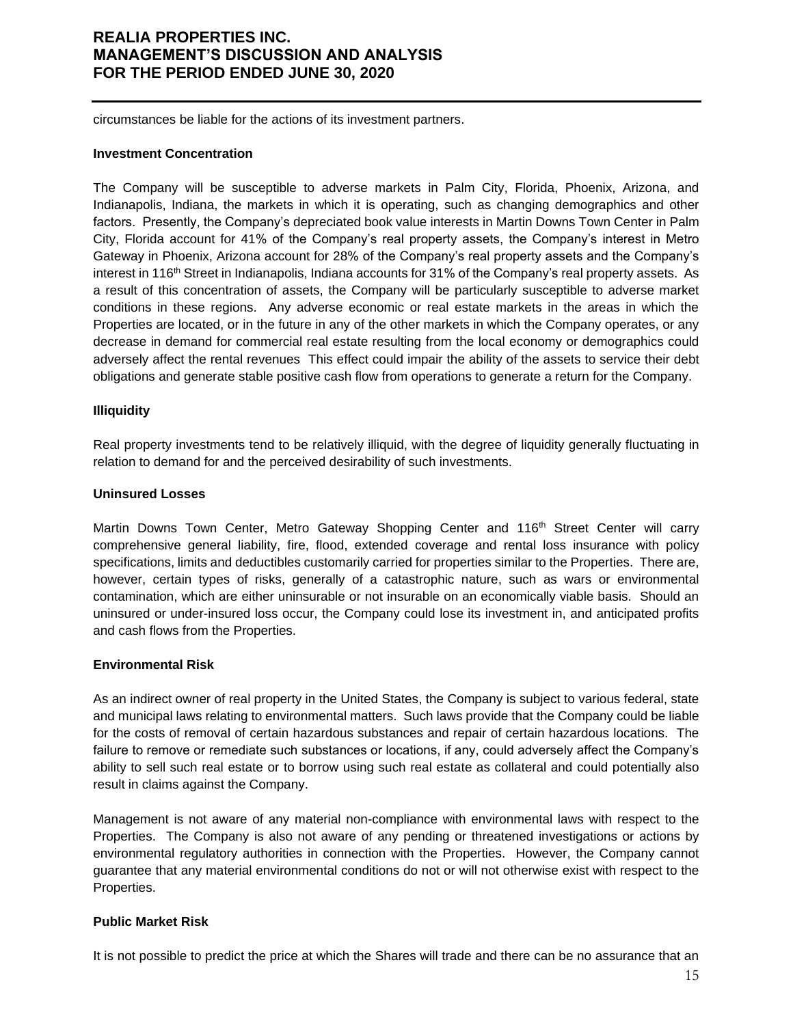circumstances be liable for the actions of its investment partners.

#### **Investment Concentration**

The Company will be susceptible to adverse markets in Palm City, Florida, Phoenix, Arizona, and Indianapolis, Indiana, the markets in which it is operating, such as changing demographics and other factors. Presently, the Company's depreciated book value interests in Martin Downs Town Center in Palm City, Florida account for 41% of the Company's real property assets, the Company's interest in Metro Gateway in Phoenix, Arizona account for 28% of the Company's real property assets and the Company's interest in 116<sup>th</sup> Street in Indianapolis, Indiana accounts for 31% of the Company's real property assets. As a result of this concentration of assets, the Company will be particularly susceptible to adverse market conditions in these regions. Any adverse economic or real estate markets in the areas in which the Properties are located, or in the future in any of the other markets in which the Company operates, or any decrease in demand for commercial real estate resulting from the local economy or demographics could adversely affect the rental revenues This effect could impair the ability of the assets to service their debt obligations and generate stable positive cash flow from operations to generate a return for the Company.

### **Illiquidity**

Real property investments tend to be relatively illiquid, with the degree of liquidity generally fluctuating in relation to demand for and the perceived desirability of such investments.

### **Uninsured Losses**

Martin Downs Town Center, Metro Gateway Shopping Center and 116<sup>th</sup> Street Center will carry comprehensive general liability, fire, flood, extended coverage and rental loss insurance with policy specifications, limits and deductibles customarily carried for properties similar to the Properties. There are, however, certain types of risks, generally of a catastrophic nature, such as wars or environmental contamination, which are either uninsurable or not insurable on an economically viable basis. Should an uninsured or under-insured loss occur, the Company could lose its investment in, and anticipated profits and cash flows from the Properties.

### **Environmental Risk**

As an indirect owner of real property in the United States, the Company is subject to various federal, state and municipal laws relating to environmental matters. Such laws provide that the Company could be liable for the costs of removal of certain hazardous substances and repair of certain hazardous locations. The failure to remove or remediate such substances or locations, if any, could adversely affect the Company's ability to sell such real estate or to borrow using such real estate as collateral and could potentially also result in claims against the Company.

Management is not aware of any material non-compliance with environmental laws with respect to the Properties. The Company is also not aware of any pending or threatened investigations or actions by environmental regulatory authorities in connection with the Properties. However, the Company cannot guarantee that any material environmental conditions do not or will not otherwise exist with respect to the Properties.

### **Public Market Risk**

It is not possible to predict the price at which the Shares will trade and there can be no assurance that an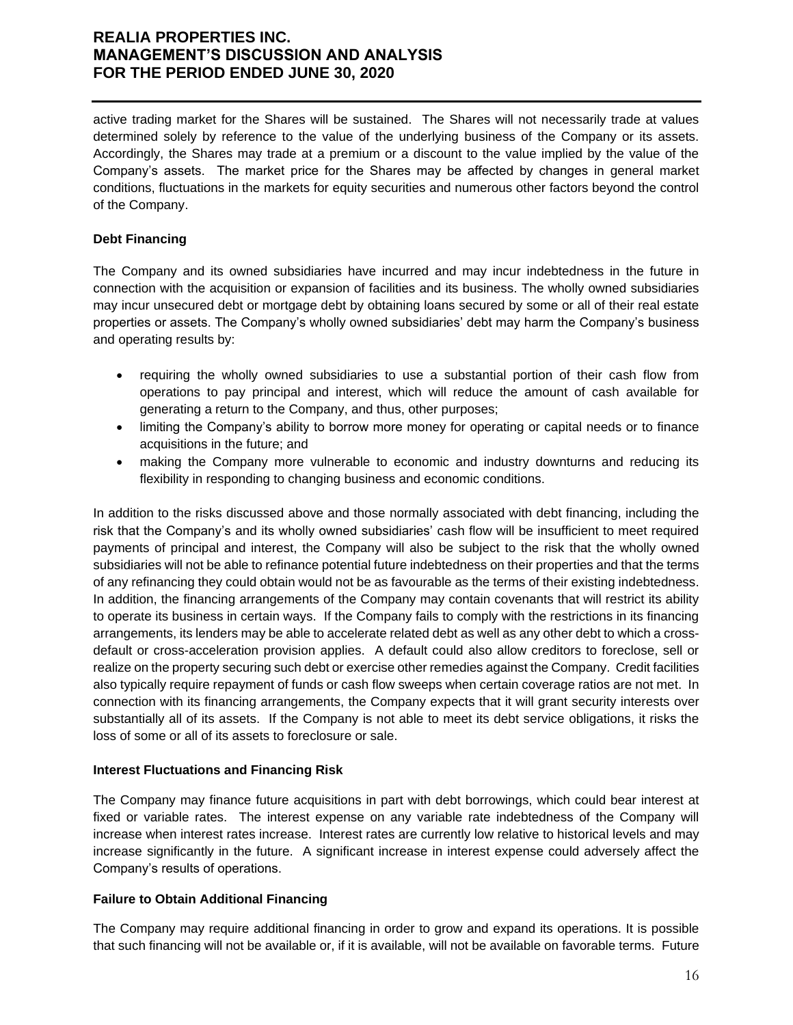active trading market for the Shares will be sustained. The Shares will not necessarily trade at values determined solely by reference to the value of the underlying business of the Company or its assets. Accordingly, the Shares may trade at a premium or a discount to the value implied by the value of the Company's assets. The market price for the Shares may be affected by changes in general market conditions, fluctuations in the markets for equity securities and numerous other factors beyond the control of the Company.

### **Debt Financing**

The Company and its owned subsidiaries have incurred and may incur indebtedness in the future in connection with the acquisition or expansion of facilities and its business. The wholly owned subsidiaries may incur unsecured debt or mortgage debt by obtaining loans secured by some or all of their real estate properties or assets. The Company's wholly owned subsidiaries' debt may harm the Company's business and operating results by:

- requiring the wholly owned subsidiaries to use a substantial portion of their cash flow from operations to pay principal and interest, which will reduce the amount of cash available for generating a return to the Company, and thus, other purposes;
- limiting the Company's ability to borrow more money for operating or capital needs or to finance acquisitions in the future; and
- making the Company more vulnerable to economic and industry downturns and reducing its flexibility in responding to changing business and economic conditions.

In addition to the risks discussed above and those normally associated with debt financing, including the risk that the Company's and its wholly owned subsidiaries' cash flow will be insufficient to meet required payments of principal and interest, the Company will also be subject to the risk that the wholly owned subsidiaries will not be able to refinance potential future indebtedness on their properties and that the terms of any refinancing they could obtain would not be as favourable as the terms of their existing indebtedness. In addition, the financing arrangements of the Company may contain covenants that will restrict its ability to operate its business in certain ways. If the Company fails to comply with the restrictions in its financing arrangements, its lenders may be able to accelerate related debt as well as any other debt to which a crossdefault or cross-acceleration provision applies. A default could also allow creditors to foreclose, sell or realize on the property securing such debt or exercise other remedies against the Company. Credit facilities also typically require repayment of funds or cash flow sweeps when certain coverage ratios are not met. In connection with its financing arrangements, the Company expects that it will grant security interests over substantially all of its assets. If the Company is not able to meet its debt service obligations, it risks the loss of some or all of its assets to foreclosure or sale.

### **Interest Fluctuations and Financing Risk**

The Company may finance future acquisitions in part with debt borrowings, which could bear interest at fixed or variable rates. The interest expense on any variable rate indebtedness of the Company will increase when interest rates increase. Interest rates are currently low relative to historical levels and may increase significantly in the future. A significant increase in interest expense could adversely affect the Company's results of operations.

### **Failure to Obtain Additional Financing**

The Company may require additional financing in order to grow and expand its operations. It is possible that such financing will not be available or, if it is available, will not be available on favorable terms. Future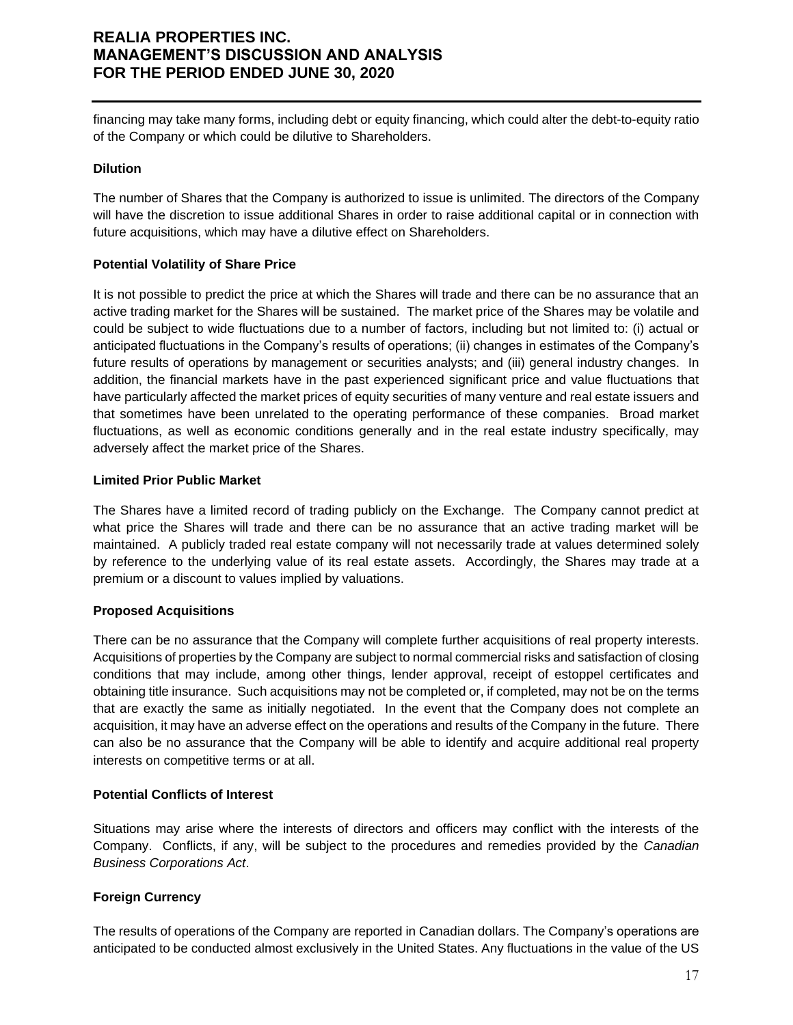financing may take many forms, including debt or equity financing, which could alter the debt-to-equity ratio of the Company or which could be dilutive to Shareholders.

### **Dilution**

The number of Shares that the Company is authorized to issue is unlimited. The directors of the Company will have the discretion to issue additional Shares in order to raise additional capital or in connection with future acquisitions, which may have a dilutive effect on Shareholders.

### **Potential Volatility of Share Price**

It is not possible to predict the price at which the Shares will trade and there can be no assurance that an active trading market for the Shares will be sustained. The market price of the Shares may be volatile and could be subject to wide fluctuations due to a number of factors, including but not limited to: (i) actual or anticipated fluctuations in the Company's results of operations; (ii) changes in estimates of the Company's future results of operations by management or securities analysts; and (iii) general industry changes. In addition, the financial markets have in the past experienced significant price and value fluctuations that have particularly affected the market prices of equity securities of many venture and real estate issuers and that sometimes have been unrelated to the operating performance of these companies. Broad market fluctuations, as well as economic conditions generally and in the real estate industry specifically, may adversely affect the market price of the Shares.

### **Limited Prior Public Market**

The Shares have a limited record of trading publicly on the Exchange. The Company cannot predict at what price the Shares will trade and there can be no assurance that an active trading market will be maintained. A publicly traded real estate company will not necessarily trade at values determined solely by reference to the underlying value of its real estate assets. Accordingly, the Shares may trade at a premium or a discount to values implied by valuations.

### **Proposed Acquisitions**

There can be no assurance that the Company will complete further acquisitions of real property interests. Acquisitions of properties by the Company are subject to normal commercial risks and satisfaction of closing conditions that may include, among other things, lender approval, receipt of estoppel certificates and obtaining title insurance. Such acquisitions may not be completed or, if completed, may not be on the terms that are exactly the same as initially negotiated. In the event that the Company does not complete an acquisition, it may have an adverse effect on the operations and results of the Company in the future. There can also be no assurance that the Company will be able to identify and acquire additional real property interests on competitive terms or at all.

### **Potential Conflicts of Interest**

Situations may arise where the interests of directors and officers may conflict with the interests of the Company. Conflicts, if any, will be subject to the procedures and remedies provided by the *Canadian Business Corporations Act*.

### **Foreign Currency**

The results of operations of the Company are reported in Canadian dollars. The Company's operations are anticipated to be conducted almost exclusively in the United States. Any fluctuations in the value of the US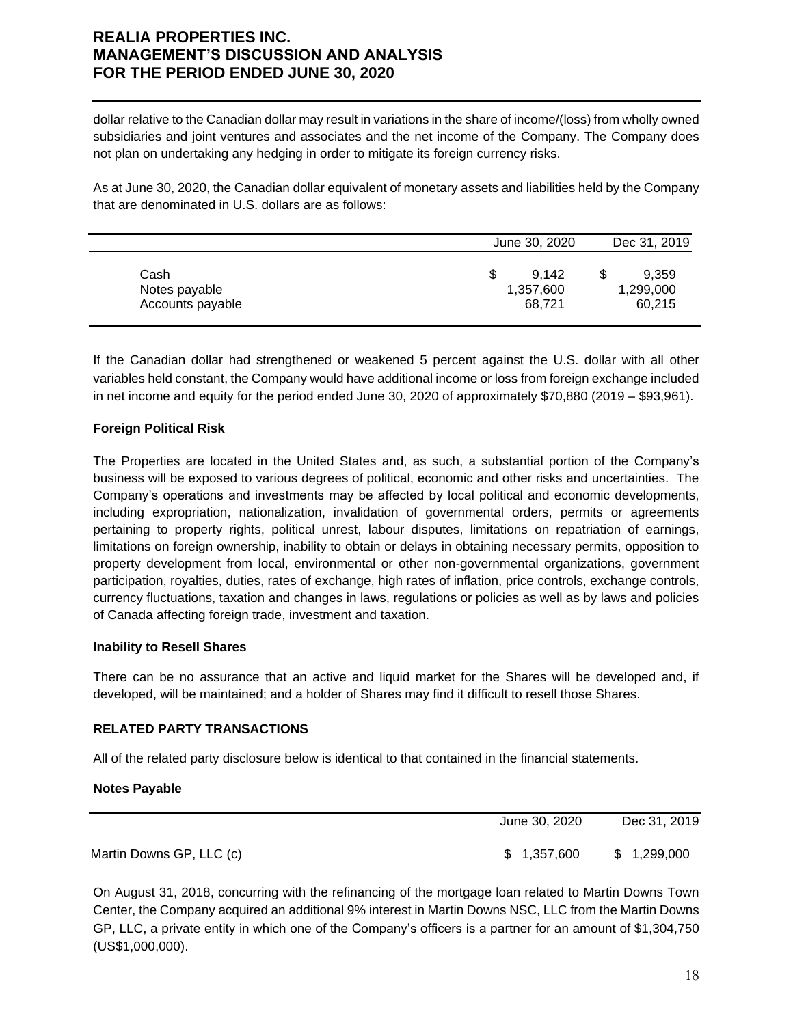dollar relative to the Canadian dollar may result in variations in the share of income/(loss) from wholly owned subsidiaries and joint ventures and associates and the net income of the Company. The Company does not plan on undertaking any hedging in order to mitigate its foreign currency risks.

As at June 30, 2020, the Canadian dollar equivalent of monetary assets and liabilities held by the Company that are denominated in U.S. dollars are as follows:

|                                           | June 30, 2020                     | Dec 31, 2019                 |
|-------------------------------------------|-----------------------------------|------------------------------|
| Cash<br>Notes payable<br>Accounts payable | 9.142<br>S<br>1,357,600<br>68,721 | 9.359<br>1,299,000<br>60,215 |

If the Canadian dollar had strengthened or weakened 5 percent against the U.S. dollar with all other variables held constant, the Company would have additional income or loss from foreign exchange included in net income and equity for the period ended June 30, 2020 of approximately \$70,880 (2019 – \$93,961).

### **Foreign Political Risk**

The Properties are located in the United States and, as such, a substantial portion of the Company's business will be exposed to various degrees of political, economic and other risks and uncertainties. The Company's operations and investments may be affected by local political and economic developments, including expropriation, nationalization, invalidation of governmental orders, permits or agreements pertaining to property rights, political unrest, labour disputes, limitations on repatriation of earnings, limitations on foreign ownership, inability to obtain or delays in obtaining necessary permits, opposition to property development from local, environmental or other non-governmental organizations, government participation, royalties, duties, rates of exchange, high rates of inflation, price controls, exchange controls, currency fluctuations, taxation and changes in laws, regulations or policies as well as by laws and policies of Canada affecting foreign trade, investment and taxation.

### **Inability to Resell Shares**

There can be no assurance that an active and liquid market for the Shares will be developed and, if developed, will be maintained; and a holder of Shares may find it difficult to resell those Shares.

### **RELATED PARTY TRANSACTIONS**

All of the related party disclosure below is identical to that contained in the financial statements.

### **Notes Payable**

|                          | June 30, 2020 | Dec 31, 2019 |
|--------------------------|---------------|--------------|
| Martin Downs GP, LLC (c) | \$ 1.357,600  | \$1,299,000  |

On August 31, 2018, concurring with the refinancing of the mortgage loan related to Martin Downs Town Center, the Company acquired an additional 9% interest in Martin Downs NSC, LLC from the Martin Downs GP, LLC, a private entity in which one of the Company's officers is a partner for an amount of \$1,304,750 (US\$1,000,000).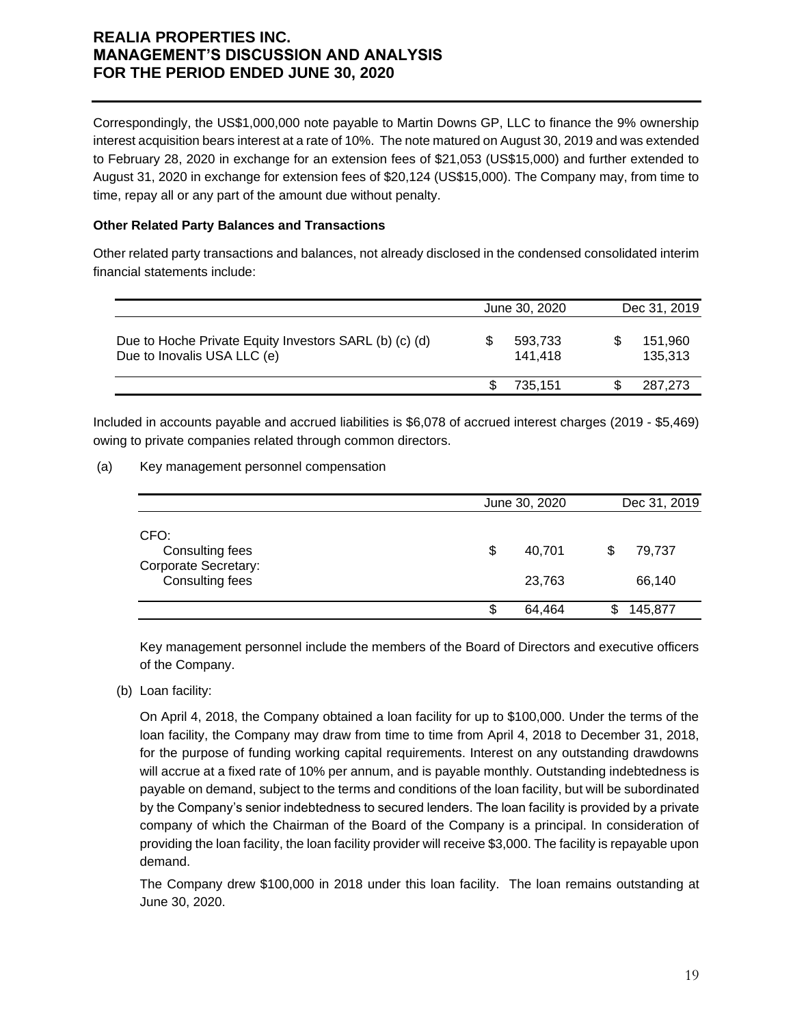Correspondingly, the US\$1,000,000 note payable to Martin Downs GP, LLC to finance the 9% ownership interest acquisition bears interest at a rate of 10%. The note matured on August 30, 2019 and was extended to February 28, 2020 in exchange for an extension fees of \$21,053 (US\$15,000) and further extended to August 31, 2020 in exchange for extension fees of \$20,124 (US\$15,000). The Company may, from time to time, repay all or any part of the amount due without penalty.

### **Other Related Party Balances and Transactions**

Other related party transactions and balances, not already disclosed in the condensed consolidated interim financial statements include:

|                                                                                       | June 30, 2020      | Dec 31, 2019 |                    |  |
|---------------------------------------------------------------------------------------|--------------------|--------------|--------------------|--|
| Due to Hoche Private Equity Investors SARL (b) (c) (d)<br>Due to Inovalis USA LLC (e) | 593,733<br>141.418 |              | 151.960<br>135.313 |  |
|                                                                                       | 735.151            |              | 287,273            |  |

Included in accounts payable and accrued liabilities is \$6,078 of accrued interest charges (2019 - \$5,469) owing to private companies related through common directors.

(a) Key management personnel compensation

|                                                                           |   | June 30, 2020    | Dec 31, 2019     |  |
|---------------------------------------------------------------------------|---|------------------|------------------|--|
| CFO:<br>Consulting fees<br><b>Corporate Secretary:</b><br>Consulting fees | S | 40.701<br>23,763 | 79,737<br>66,140 |  |
|                                                                           |   | 64,464           | 145,877          |  |

Key management personnel include the members of the Board of Directors and executive officers of the Company.

(b) Loan facility:

On April 4, 2018, the Company obtained a loan facility for up to \$100,000. Under the terms of the loan facility, the Company may draw from time to time from April 4, 2018 to December 31, 2018, for the purpose of funding working capital requirements. Interest on any outstanding drawdowns will accrue at a fixed rate of 10% per annum, and is payable monthly. Outstanding indebtedness is payable on demand, subject to the terms and conditions of the loan facility, but will be subordinated by the Company's senior indebtedness to secured lenders. The loan facility is provided by a private company of which the Chairman of the Board of the Company is a principal. In consideration of providing the loan facility, the loan facility provider will receive \$3,000. The facility is repayable upon demand.

The Company drew \$100,000 in 2018 under this loan facility. The loan remains outstanding at June 30, 2020.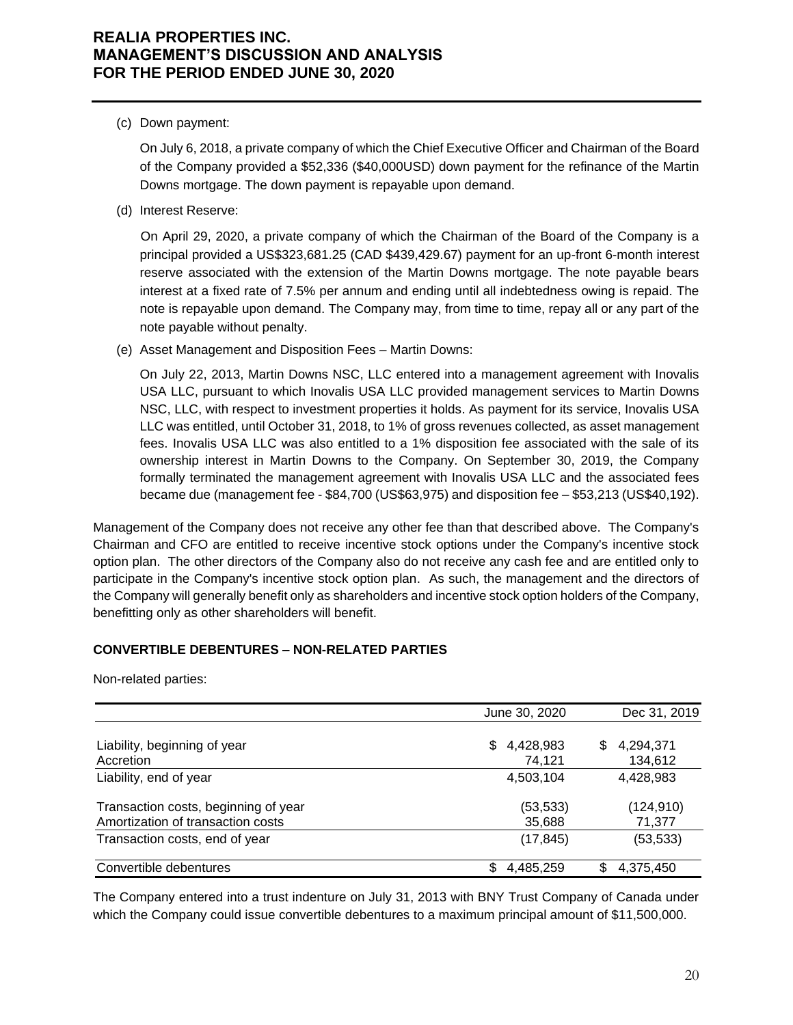(c) Down payment:

On July 6, 2018, a private company of which the Chief Executive Officer and Chairman of the Board of the Company provided a \$52,336 (\$40,000USD) down payment for the refinance of the Martin Downs mortgage. The down payment is repayable upon demand.

(d) Interest Reserve:

On April 29, 2020, a private company of which the Chairman of the Board of the Company is a principal provided a US\$323,681.25 (CAD \$439,429.67) payment for an up-front 6-month interest reserve associated with the extension of the Martin Downs mortgage. The note payable bears interest at a fixed rate of 7.5% per annum and ending until all indebtedness owing is repaid. The note is repayable upon demand. The Company may, from time to time, repay all or any part of the note payable without penalty.

(e) Asset Management and Disposition Fees – Martin Downs:

On July 22, 2013, Martin Downs NSC, LLC entered into a management agreement with Inovalis USA LLC, pursuant to which Inovalis USA LLC provided management services to Martin Downs NSC, LLC, with respect to investment properties it holds. As payment for its service, Inovalis USA LLC was entitled, until October 31, 2018, to 1% of gross revenues collected, as asset management fees. Inovalis USA LLC was also entitled to a 1% disposition fee associated with the sale of its ownership interest in Martin Downs to the Company. On September 30, 2019, the Company formally terminated the management agreement with Inovalis USA LLC and the associated fees became due (management fee - \$84,700 (US\$63,975) and disposition fee – \$53,213 (US\$40,192).

Management of the Company does not receive any other fee than that described above. The Company's Chairman and CFO are entitled to receive incentive stock options under the Company's incentive stock option plan. The other directors of the Company also do not receive any cash fee and are entitled only to participate in the Company's incentive stock option plan. As such, the management and the directors of the Company will generally benefit only as shareholders and incentive stock option holders of the Company, benefitting only as other shareholders will benefit.

### **CONVERTIBLE DEBENTURES – NON-RELATED PARTIES**

Non-related parties:

|                                                                           | June 30, 2020             | Dec 31, 2019               |
|---------------------------------------------------------------------------|---------------------------|----------------------------|
| Liability, beginning of year<br>Accretion                                 | 4,428,983<br>S.<br>74.121 | \$<br>4,294,371<br>134,612 |
| Liability, end of year                                                    | 4,503,104                 | 4,428,983                  |
| Transaction costs, beginning of year<br>Amortization of transaction costs | (53, 533)<br>35,688       | (124, 910)<br>71,377       |
| Transaction costs, end of year                                            | (17,845)                  | (53, 533)                  |
| Convertible debentures                                                    | 4,485,259                 | 4,375,450<br>\$            |

The Company entered into a trust indenture on July 31, 2013 with BNY Trust Company of Canada under which the Company could issue convertible debentures to a maximum principal amount of \$11,500,000.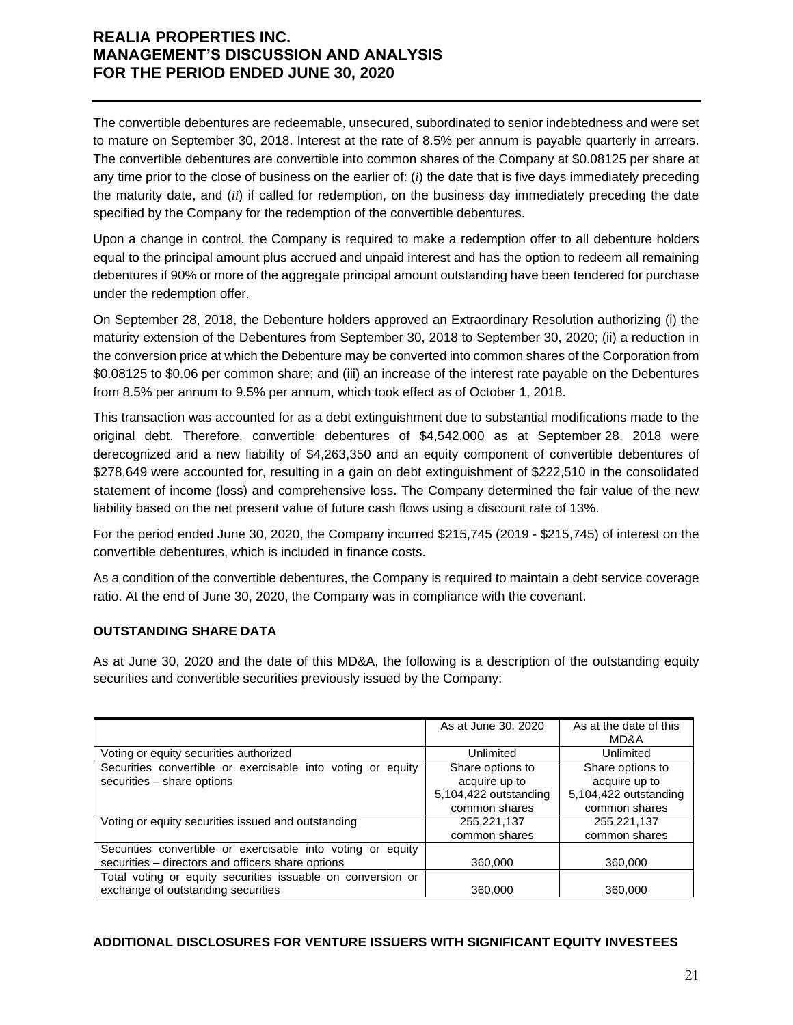The convertible debentures are redeemable, unsecured, subordinated to senior indebtedness and were set to mature on September 30, 2018. Interest at the rate of 8.5% per annum is payable quarterly in arrears. The convertible debentures are convertible into common shares of the Company at \$0.08125 per share at any time prior to the close of business on the earlier of: (*i*) the date that is five days immediately preceding the maturity date, and (*ii*) if called for redemption, on the business day immediately preceding the date specified by the Company for the redemption of the convertible debentures.

Upon a change in control, the Company is required to make a redemption offer to all debenture holders equal to the principal amount plus accrued and unpaid interest and has the option to redeem all remaining debentures if 90% or more of the aggregate principal amount outstanding have been tendered for purchase under the redemption offer.

On September 28, 2018, the Debenture holders approved an Extraordinary Resolution authorizing (i) the maturity extension of the Debentures from September 30, 2018 to September 30, 2020; (ii) a reduction in the conversion price at which the Debenture may be converted into common shares of the Corporation from \$0.08125 to \$0.06 per common share; and (iii) an increase of the interest rate payable on the Debentures from 8.5% per annum to 9.5% per annum, which took effect as of October 1, 2018.

This transaction was accounted for as a debt extinguishment due to substantial modifications made to the original debt. Therefore, convertible debentures of \$4,542,000 as at September 28, 2018 were derecognized and a new liability of \$4,263,350 and an equity component of convertible debentures of \$278,649 were accounted for, resulting in a gain on debt extinguishment of \$222,510 in the consolidated statement of income (loss) and comprehensive loss. The Company determined the fair value of the new liability based on the net present value of future cash flows using a discount rate of 13%.

For the period ended June 30, 2020, the Company incurred \$215,745 (2019 - \$215,745) of interest on the convertible debentures, which is included in finance costs.

As a condition of the convertible debentures, the Company is required to maintain a debt service coverage ratio. At the end of June 30, 2020, the Company was in compliance with the covenant.

### **OUTSTANDING SHARE DATA**

As at June 30, 2020 and the date of this MD&A, the following is a description of the outstanding equity securities and convertible securities previously issued by the Company:

|                                                                                                                  | As at June 30, 2020   | As at the date of this<br>MD&A |
|------------------------------------------------------------------------------------------------------------------|-----------------------|--------------------------------|
| Voting or equity securities authorized                                                                           | Unlimited             | Unlimited                      |
| Securities convertible or exercisable into voting or equity                                                      | Share options to      | Share options to               |
| securities - share options                                                                                       | acquire up to         | acquire up to                  |
|                                                                                                                  | 5,104,422 outstanding | 5,104,422 outstanding          |
|                                                                                                                  | common shares         | common shares                  |
| Voting or equity securities issued and outstanding                                                               | 255,221,137           | 255,221,137                    |
|                                                                                                                  | common shares         | common shares                  |
| Securities convertible or exercisable into voting or equity<br>securities – directors and officers share options | 360,000               | 360,000                        |
| Total voting or equity securities issuable on conversion or                                                      |                       |                                |
| exchange of outstanding securities                                                                               | 360,000               | 360,000                        |

#### **ADDITIONAL DISCLOSURES FOR VENTURE ISSUERS WITH SIGNIFICANT EQUITY INVESTEES**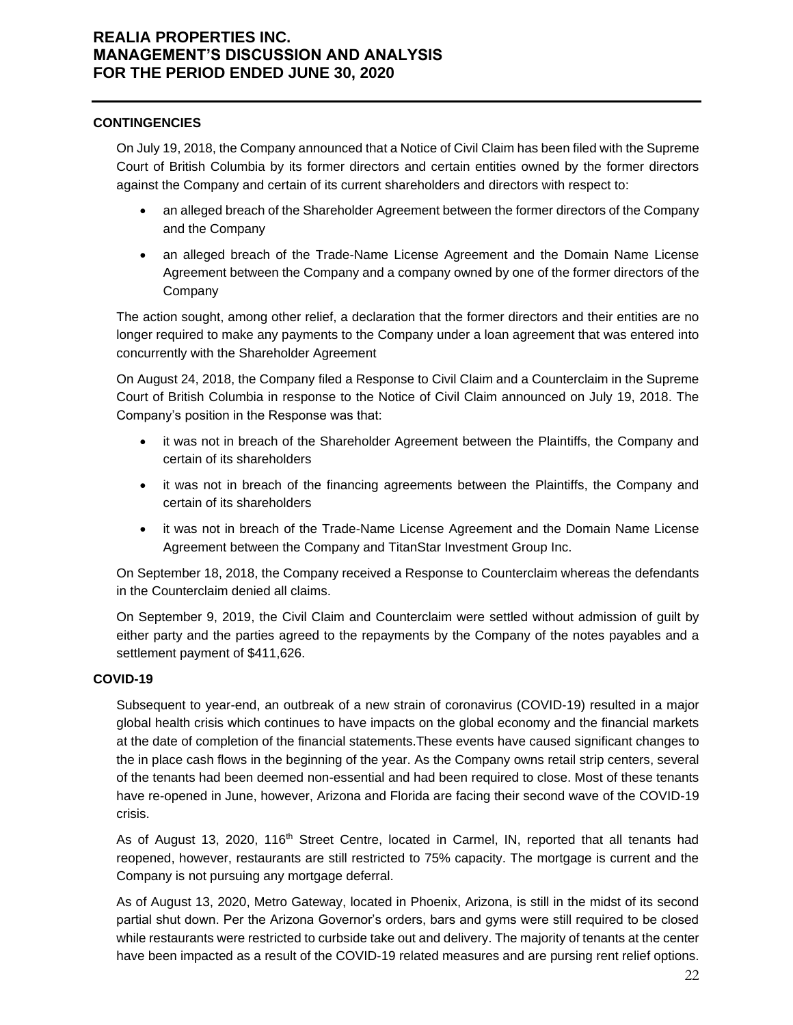#### **CONTINGENCIES**

On July 19, 2018, the Company announced that a Notice of Civil Claim has been filed with the Supreme Court of British Columbia by its former directors and certain entities owned by the former directors against the Company and certain of its current shareholders and directors with respect to:

- an alleged breach of the Shareholder Agreement between the former directors of the Company and the Company
- an alleged breach of the Trade-Name License Agreement and the Domain Name License Agreement between the Company and a company owned by one of the former directors of the **Company**

The action sought, among other relief, a declaration that the former directors and their entities are no longer required to make any payments to the Company under a loan agreement that was entered into concurrently with the Shareholder Agreement

On August 24, 2018, the Company filed a Response to Civil Claim and a Counterclaim in the Supreme Court of British Columbia in response to the Notice of Civil Claim announced on July 19, 2018. The Company's position in the Response was that:

- it was not in breach of the Shareholder Agreement between the Plaintiffs, the Company and certain of its shareholders
- it was not in breach of the financing agreements between the Plaintiffs, the Company and certain of its shareholders
- it was not in breach of the Trade-Name License Agreement and the Domain Name License Agreement between the Company and TitanStar Investment Group Inc.

On September 18, 2018, the Company received a Response to Counterclaim whereas the defendants in the Counterclaim denied all claims.

On September 9, 2019, the Civil Claim and Counterclaim were settled without admission of guilt by either party and the parties agreed to the repayments by the Company of the notes payables and a settlement payment of \$411,626.

### **COVID-19**

Subsequent to year-end, an outbreak of a new strain of coronavirus (COVID-19) resulted in a major global health crisis which continues to have impacts on the global economy and the financial markets at the date of completion of the financial statements.These events have caused significant changes to the in place cash flows in the beginning of the year. As the Company owns retail strip centers, several of the tenants had been deemed non-essential and had been required to close. Most of these tenants have re-opened in June, however, Arizona and Florida are facing their second wave of the COVID-19 crisis.

As of August 13, 2020, 116<sup>th</sup> Street Centre, located in Carmel, IN, reported that all tenants had reopened, however, restaurants are still restricted to 75% capacity. The mortgage is current and the Company is not pursuing any mortgage deferral.

As of August 13, 2020, Metro Gateway, located in Phoenix, Arizona, is still in the midst of its second partial shut down. Per the Arizona Governor's orders, bars and gyms were still required to be closed while restaurants were restricted to curbside take out and delivery. The majority of tenants at the center have been impacted as a result of the COVID-19 related measures and are pursing rent relief options.